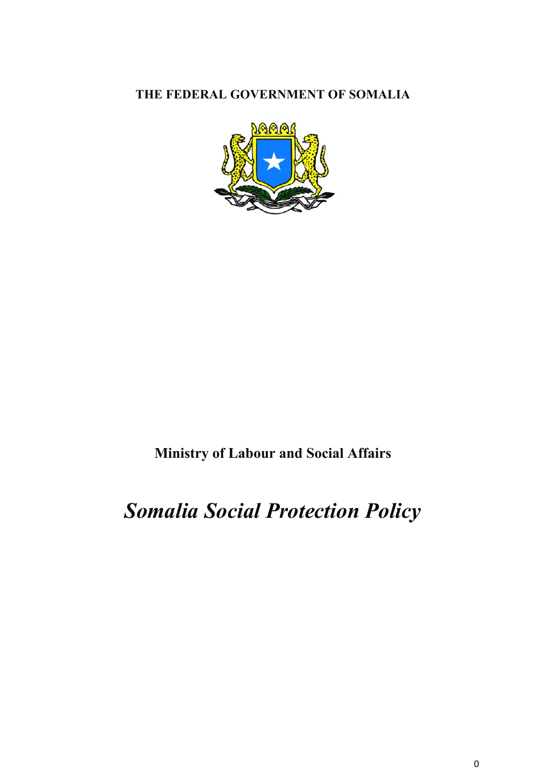# **THE FEDERAL GOVERNMENT OF SOMALIA**



# **Ministry of Labour and Social Affairs**

# *Somalia Social Protection Policy*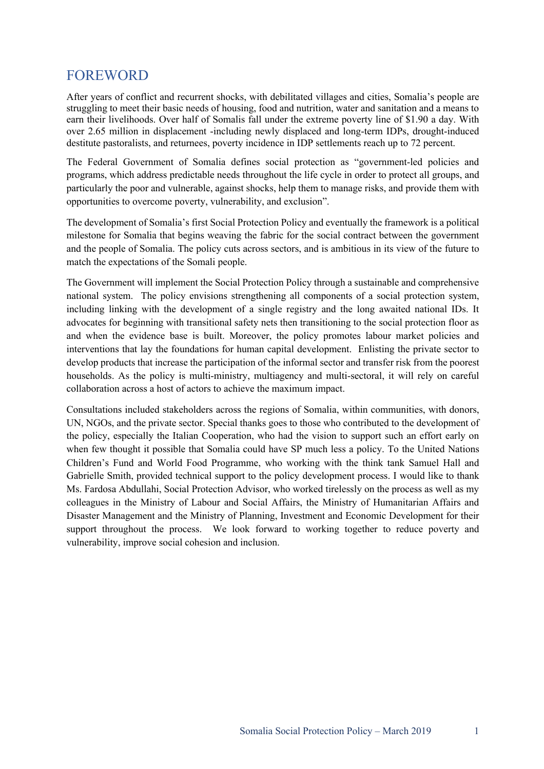# FOREWORD

After years of conflict and recurrent shocks, with debilitated villages and cities, Somalia's people are struggling to meet their basic needs of housing, food and nutrition, water and sanitation and a means to earn their livelihoods. Over half of Somalis fall under the extreme poverty line of \$1.90 a day. With over 2.65 million in displacement -including newly displaced and long-term IDPs, drought-induced destitute pastoralists, and returnees, poverty incidence in IDP settlements reach up to 72 percent.

The Federal Government of Somalia defines social protection as "government-led policies and programs, which address predictable needs throughout the life cycle in order to protect all groups, and particularly the poor and vulnerable, against shocks, help them to manage risks, and provide them with opportunities to overcome poverty, vulnerability, and exclusion".

The development of Somalia's first Social Protection Policy and eventually the framework is a political milestone for Somalia that begins weaving the fabric for the social contract between the government and the people of Somalia. The policy cuts across sectors, and is ambitious in its view of the future to match the expectations of the Somali people.

The Government will implement the Social Protection Policy through a sustainable and comprehensive national system. The policy envisions strengthening all components of a social protection system, including linking with the development of a single registry and the long awaited national IDs. It advocates for beginning with transitional safety nets then transitioning to the social protection floor as and when the evidence base is built. Moreover, the policy promotes labour market policies and interventions that lay the foundations for human capital development. Enlisting the private sector to develop products that increase the participation of the informal sector and transfer risk from the poorest households. As the policy is multi-ministry, multiagency and multi-sectoral, it will rely on careful collaboration across a host of actors to achieve the maximum impact.

Consultations included stakeholders across the regions of Somalia, within communities, with donors, UN, NGOs, and the private sector. Special thanks goes to those who contributed to the development of the policy, especially the Italian Cooperation, who had the vision to support such an effort early on when few thought it possible that Somalia could have SP much less a policy. To the United Nations Children's Fund and World Food Programme, who working with the think tank Samuel Hall and Gabrielle Smith, provided technical support to the policy development process. I would like to thank Ms. Fardosa Abdullahi, Social Protection Advisor, who worked tirelessly on the process as well as my colleagues in the Ministry of Labour and Social Affairs, the Ministry of Humanitarian Affairs and Disaster Management and the Ministry of Planning, Investment and Economic Development for their support throughout the process. We look forward to working together to reduce poverty and vulnerability, improve social cohesion and inclusion.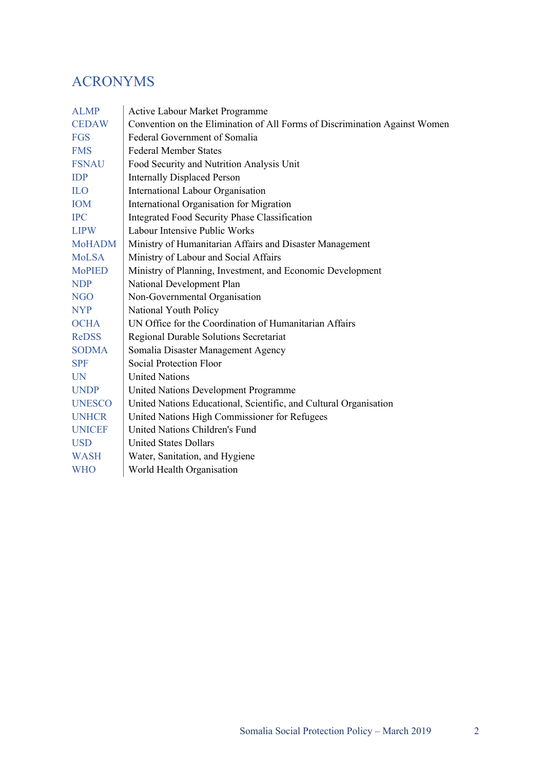# ACRONYMS

| <b>Active Labour Market Programme</b>                                      |
|----------------------------------------------------------------------------|
| Convention on the Elimination of All Forms of Discrimination Against Women |
| Federal Government of Somalia                                              |
| <b>Federal Member States</b>                                               |
| Food Security and Nutrition Analysis Unit                                  |
| <b>Internally Displaced Person</b>                                         |
| International Labour Organisation                                          |
| International Organisation for Migration                                   |
| <b>Integrated Food Security Phase Classification</b>                       |
| Labour Intensive Public Works                                              |
| Ministry of Humanitarian Affairs and Disaster Management                   |
| Ministry of Labour and Social Affairs                                      |
| Ministry of Planning, Investment, and Economic Development                 |
| National Development Plan                                                  |
| Non-Governmental Organisation                                              |
| National Youth Policy                                                      |
| UN Office for the Coordination of Humanitarian Affairs                     |
| Regional Durable Solutions Secretariat                                     |
| Somalia Disaster Management Agency                                         |
| Social Protection Floor                                                    |
| <b>United Nations</b>                                                      |
| United Nations Development Programme                                       |
| United Nations Educational, Scientific, and Cultural Organisation          |
| United Nations High Commissioner for Refugees                              |
| United Nations Children's Fund                                             |
| <b>United States Dollars</b>                                               |
| Water, Sanitation, and Hygiene                                             |
| World Health Organisation                                                  |
|                                                                            |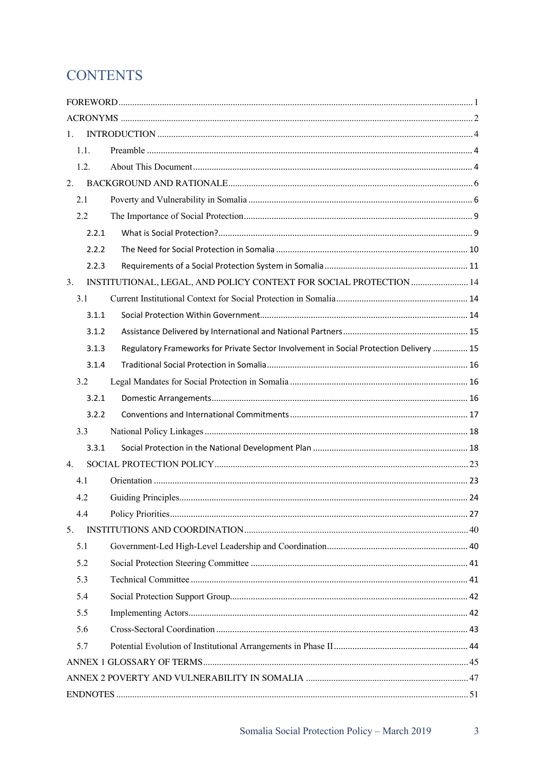# **CONTENTS**

| 1.    |                                                                                        |  |  |
|-------|----------------------------------------------------------------------------------------|--|--|
| 1.1.  |                                                                                        |  |  |
| 1.2.  |                                                                                        |  |  |
| 2.    |                                                                                        |  |  |
| 2.1   |                                                                                        |  |  |
| 2.2   |                                                                                        |  |  |
| 2.2.1 |                                                                                        |  |  |
| 2.2.2 |                                                                                        |  |  |
| 2.2.3 |                                                                                        |  |  |
| 3.    | INSTITUTIONAL, LEGAL, AND POLICY CONTEXT FOR SOCIAL PROTECTION  14                     |  |  |
| 3.1   |                                                                                        |  |  |
| 3.1.1 |                                                                                        |  |  |
| 3.1.2 |                                                                                        |  |  |
| 3.1.3 | Regulatory Frameworks for Private Sector Involvement in Social Protection Delivery  15 |  |  |
| 3.1.4 |                                                                                        |  |  |
| 3.2   |                                                                                        |  |  |
| 3.2.1 |                                                                                        |  |  |
| 3.2.2 |                                                                                        |  |  |
| 3.3   |                                                                                        |  |  |
| 3.3.1 |                                                                                        |  |  |
| 4.    |                                                                                        |  |  |
| 4.1   |                                                                                        |  |  |
| 4.2   |                                                                                        |  |  |
| 4.4   |                                                                                        |  |  |
| 5.    |                                                                                        |  |  |
| 5.1   |                                                                                        |  |  |
| 5.2   |                                                                                        |  |  |
| 5.3   |                                                                                        |  |  |
| 5.4   |                                                                                        |  |  |
| 5.5   |                                                                                        |  |  |
| 5.6   |                                                                                        |  |  |
| 5.7   |                                                                                        |  |  |
|       |                                                                                        |  |  |
|       |                                                                                        |  |  |
|       |                                                                                        |  |  |

 $\overline{3}$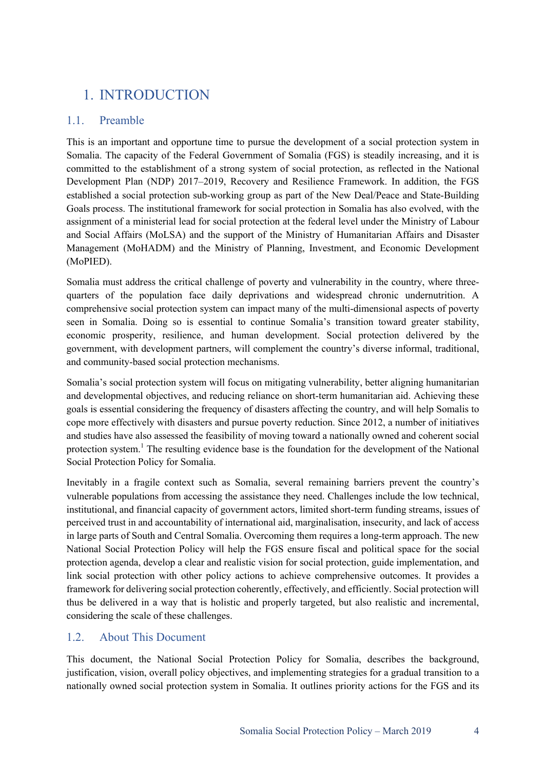# 1. INTRODUCTION

# 1.1. Preamble

This is an important and opportune time to pursue the development of a social protection system in Somalia. The capacity of the Federal Government of Somalia (FGS) is steadily increasing, and it is committed to the establishment of a strong system of social protection, as reflected in the National Development Plan (NDP) 2017–2019, Recovery and Resilience Framework. In addition, the FGS established a social protection sub-working group as part of the New Deal/Peace and State-Building Goals process. The institutional framework for social protection in Somalia has also evolved, with the assignment of a ministerial lead for social protection at the federal level under the Ministry of Labour and Social Affairs (MoLSA) and the support of the Ministry of Humanitarian Affairs and Disaster Management (MoHADM) and the Ministry of Planning, Investment, and Economic Development (MoPIED).

Somalia must address the critical challenge of poverty and vulnerability in the country, where threequarters of the population face daily deprivations and widespread chronic undernutrition. A comprehensive social protection system can impact many of the multi-dimensional aspects of poverty seen in Somalia. Doing so is essential to continue Somalia's transition toward greater stability, economic prosperity, resilience, and human development. Social protection delivered by the government, with development partners, will complement the country's diverse informal, traditional, and community-based social protection mechanisms.

Somalia's social protection system will focus on mitigating vulnerability, better aligning humanitarian and developmental objectives, and reducing reliance on short-term humanitarian aid. Achieving these goals is essential considering the frequency of disasters affecting the country, and will help Somalis to cope more effectively with disasters and pursue poverty reduction. Since 2012, a number of initiatives and studies have also assessed the feasibility of moving toward a nationally owned and coherent social protection system.<sup>1</sup> The resulting evidence base is the foundation for the development of the National Social Protection Policy for Somalia.

Inevitably in a fragile context such as Somalia, several remaining barriers prevent the country's vulnerable populations from accessing the assistance they need. Challenges include the low technical, institutional, and financial capacity of government actors, limited short-term funding streams, issues of perceived trust in and accountability of international aid, marginalisation, insecurity, and lack of access in large parts of South and Central Somalia. Overcoming them requires a long-term approach. The new National Social Protection Policy will help the FGS ensure fiscal and political space for the social protection agenda, develop a clear and realistic vision for social protection, guide implementation, and link social protection with other policy actions to achieve comprehensive outcomes. It provides a framework for delivering social protection coherently, effectively, and efficiently. Social protection will thus be delivered in a way that is holistic and properly targeted, but also realistic and incremental, considering the scale of these challenges.

# 1.2. About This Document

This document, the National Social Protection Policy for Somalia, describes the background, justification, vision, overall policy objectives, and implementing strategies for a gradual transition to a nationally owned social protection system in Somalia. It outlines priority actions for the FGS and its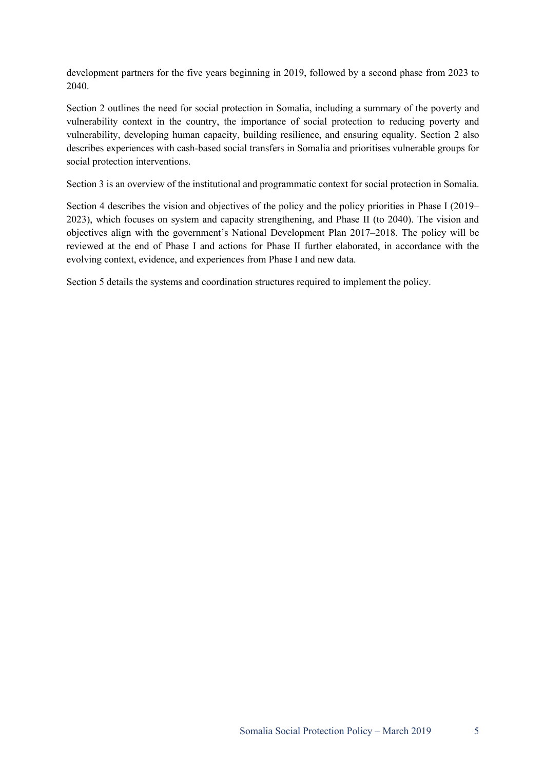development partners for the five years beginning in 2019, followed by a second phase from 2023 to 2040.

Section 2 outlines the need for social protection in Somalia, including a summary of the poverty and vulnerability context in the country, the importance of social protection to reducing poverty and vulnerability, developing human capacity, building resilience, and ensuring equality. Section 2 also describes experiences with cash-based social transfers in Somalia and prioritises vulnerable groups for social protection interventions.

Section 3 is an overview of the institutional and programmatic context for social protection in Somalia.

Section 4 describes the vision and objectives of the policy and the policy priorities in Phase I (2019– 2023), which focuses on system and capacity strengthening, and Phase II (to 2040). The vision and objectives align with the government's National Development Plan 2017–2018. The policy will be reviewed at the end of Phase I and actions for Phase II further elaborated, in accordance with the evolving context, evidence, and experiences from Phase I and new data.

Section 5 details the systems and coordination structures required to implement the policy.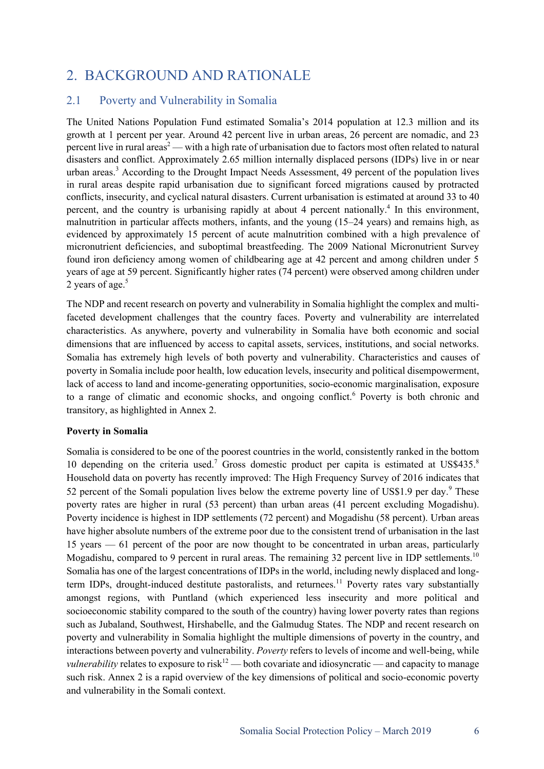# 2. BACKGROUND AND RATIONALE

## 2.1 Poverty and Vulnerability in Somalia

The United Nations Population Fund estimated Somalia's 2014 population at 12.3 million and its growth at 1 percent per year. Around 42 percent live in urban areas, 26 percent are nomadic, and 23 percent live in rural areas<sup>2</sup> — with a high rate of urbanisation due to factors most often related to natural disasters and conflict. Approximately 2.65 million internally displaced persons (IDPs) live in or near urban areas.<sup>3</sup> According to the Drought Impact Needs Assessment, 49 percent of the population lives in rural areas despite rapid urbanisation due to significant forced migrations caused by protracted conflicts, insecurity, and cyclical natural disasters. Current urbanisation is estimated at around 33 to 40 percent, and the country is urbanising rapidly at about 4 percent nationally.<sup>4</sup> In this environment, malnutrition in particular affects mothers, infants, and the young (15–24 years) and remains high, as evidenced by approximately 15 percent of acute malnutrition combined with a high prevalence of micronutrient deficiencies, and suboptimal breastfeeding. The 2009 National Micronutrient Survey found iron deficiency among women of childbearing age at 42 percent and among children under 5 years of age at 59 percent. Significantly higher rates (74 percent) were observed among children under 2 years of age.<sup>5</sup>

The NDP and recent research on poverty and vulnerability in Somalia highlight the complex and multifaceted development challenges that the country faces. Poverty and vulnerability are interrelated characteristics. As anywhere, poverty and vulnerability in Somalia have both economic and social dimensions that are influenced by access to capital assets, services, institutions, and social networks. Somalia has extremely high levels of both poverty and vulnerability. Characteristics and causes of poverty in Somalia include poor health, low education levels, insecurity and political disempowerment, lack of access to land and income-generating opportunities, socio-economic marginalisation, exposure to a range of climatic and economic shocks, and ongoing conflict.<sup>6</sup> Poverty is both chronic and transitory, as highlighted in Annex 2.

#### **Poverty in Somalia**

Somalia is considered to be one of the poorest countries in the world, consistently ranked in the bottom 10 depending on the criteria used.<sup>7</sup> Gross domestic product per capita is estimated at US\$435.<sup>8</sup> Household data on poverty has recently improved: The High Frequency Survey of 2016 indicates that 52 percent of the Somali population lives below the extreme poverty line of US\$1.9 per day.<sup>9</sup> These poverty rates are higher in rural (53 percent) than urban areas (41 percent excluding Mogadishu). Poverty incidence is highest in IDP settlements (72 percent) and Mogadishu (58 percent). Urban areas have higher absolute numbers of the extreme poor due to the consistent trend of urbanisation in the last 15 years — 61 percent of the poor are now thought to be concentrated in urban areas, particularly Mogadishu, compared to 9 percent in rural areas. The remaining 32 percent live in IDP settlements.<sup>10</sup> Somalia has one of the largest concentrations of IDPs in the world, including newly displaced and longterm IDPs, drought-induced destitute pastoralists, and returnees.<sup>11</sup> Poverty rates vary substantially amongst regions, with Puntland (which experienced less insecurity and more political and socioeconomic stability compared to the south of the country) having lower poverty rates than regions such as Jubaland, Southwest, Hirshabelle, and the Galmudug States. The NDP and recent research on poverty and vulnerability in Somalia highlight the multiple dimensions of poverty in the country, and interactions between poverty and vulnerability. *Poverty* refers to levels of income and well-being, while *vulnerability* relates to exposure to risk<sup>12</sup> — both covariate and idiosyncratic — and capacity to manage such risk. Annex 2 is a rapid overview of the key dimensions of political and socio-economic poverty and vulnerability in the Somali context.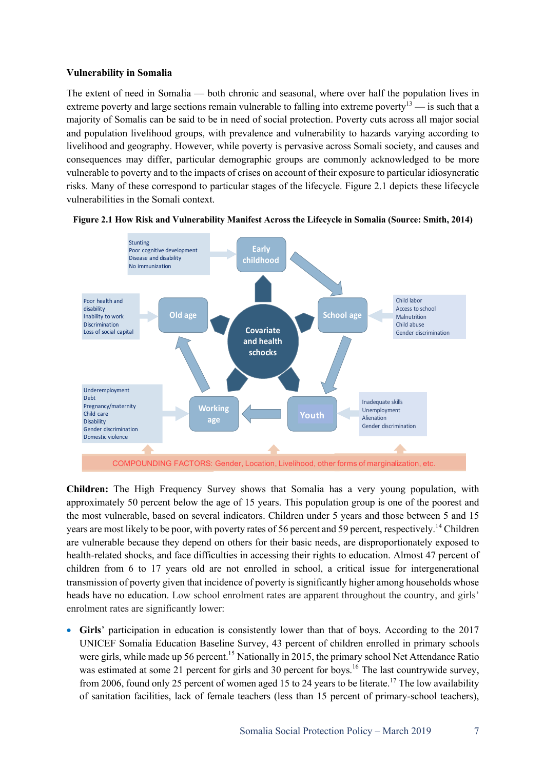#### **Vulnerability in Somalia**

The extent of need in Somalia — both chronic and seasonal, where over half the population lives in extreme poverty and large sections remain vulnerable to falling into extreme poverty<sup>13</sup> — is such that a majority of Somalis can be said to be in need of social protection. Poverty cuts across all major social and population livelihood groups, with prevalence and vulnerability to hazards varying according to livelihood and geography. However, while poverty is pervasive across Somali society, and causes and consequences may differ, particular demographic groups are commonly acknowledged to be more vulnerable to poverty and to the impacts of crises on account of their exposure to particular idiosyncratic risks. Many of these correspond to particular stages of the lifecycle. Figure 2.1 depicts these lifecycle vulnerabilities in the Somali context.



#### **Figure 2.1 How Risk and Vulnerability Manifest Across the Lifecycle in Somalia (Source: Smith, 2014)**

**Children:** The High Frequency Survey shows that Somalia has a very young population, with approximately 50 percent below the age of 15 years. This population group is one of the poorest and the most vulnerable, based on several indicators. Children under 5 years and those between 5 and 15 years are most likely to be poor, with poverty rates of 56 percent and 59 percent, respectively.<sup>14</sup> Children are vulnerable because they depend on others for their basic needs, are disproportionately exposed to health-related shocks, and face difficulties in accessing their rights to education. Almost 47 percent of children from 6 to 17 years old are not enrolled in school, a critical issue for intergenerational transmission of poverty given that incidence of poverty is significantly higher among households whose heads have no education. Low school enrolment rates are apparent throughout the country, and girls' enrolment rates are significantly lower:

• **Girls**' participation in education is consistently lower than that of boys. According to the 2017 UNICEF Somalia Education Baseline Survey, 43 percent of children enrolled in primary schools were girls, while made up 56 percent.<sup>15</sup> Nationally in 2015, the primary school Net Attendance Ratio was estimated at some 21 percent for girls and 30 percent for boys.<sup>16</sup> The last countrywide survey, from 2006, found only 25 percent of women aged 15 to 24 years to be literate.<sup>17</sup> The low availability of sanitation facilities, lack of female teachers (less than 15 percent of primary-school teachers),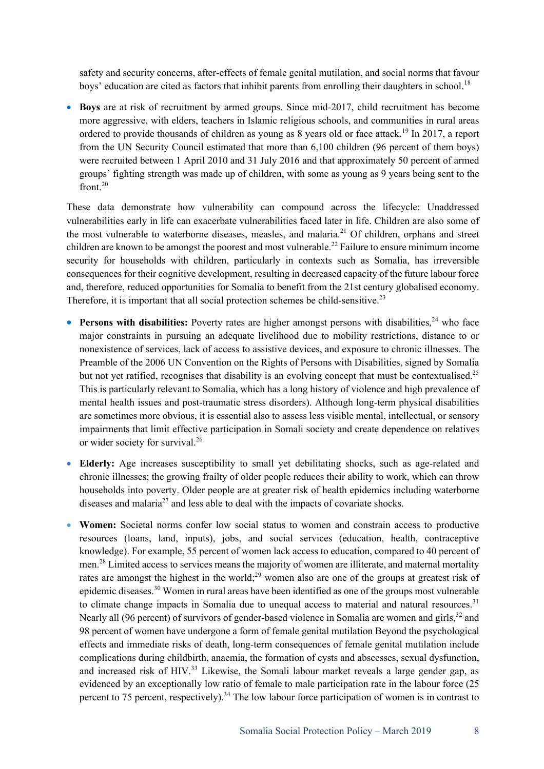safety and security concerns, after-effects of female genital mutilation, and social norms that favour boys' education are cited as factors that inhibit parents from enrolling their daughters in school.<sup>18</sup>

• **Boys** are at risk of recruitment by armed groups. Since mid-2017, child recruitment has become more aggressive, with elders, teachers in Islamic religious schools, and communities in rural areas ordered to provide thousands of children as young as 8 years old or face attack.<sup>19</sup> In 2017, a report from the UN Security Council estimated that more than 6,100 children (96 percent of them boys) were recruited between 1 April 2010 and 31 July 2016 and that approximately 50 percent of armed groups' fighting strength was made up of children, with some as young as 9 years being sent to the front. 20

These data demonstrate how vulnerability can compound across the lifecycle: Unaddressed vulnerabilities early in life can exacerbate vulnerabilities faced later in life. Children are also some of the most vulnerable to waterborne diseases, measles, and malaria.<sup>21</sup> Of children, orphans and street children are known to be amongst the poorest and most vulnerable.<sup>22</sup> Failure to ensure minimum income security for households with children, particularly in contexts such as Somalia, has irreversible consequences for their cognitive development, resulting in decreased capacity of the future labour force and, therefore, reduced opportunities for Somalia to benefit from the 21st century globalised economy. Therefore, it is important that all social protection schemes be child-sensitive.<sup>23</sup>

- Persons with disabilities: Poverty rates are higher amongst persons with disabilities,<sup>24</sup> who face major constraints in pursuing an adequate livelihood due to mobility restrictions, distance to or nonexistence of services, lack of access to assistive devices, and exposure to chronic illnesses. The Preamble of the 2006 UN Convention on the Rights of Persons with Disabilities, signed by Somalia but not yet ratified, recognises that disability is an evolving concept that must be contextualised.<sup>25</sup> This is particularly relevant to Somalia, which has a long history of violence and high prevalence of mental health issues and post-traumatic stress disorders). Although long-term physical disabilities are sometimes more obvious, it is essential also to assess less visible mental, intellectual, or sensory impairments that limit effective participation in Somali society and create dependence on relatives or wider society for survival.<sup>26</sup>
- **Elderly:** Age increases susceptibility to small yet debilitating shocks, such as age-related and chronic illnesses; the growing frailty of older people reduces their ability to work, which can throw households into poverty. Older people are at greater risk of health epidemics including waterborne diseases and malaria<sup>27</sup> and less able to deal with the impacts of covariate shocks.
- **Women:** Societal norms confer low social status to women and constrain access to productive resources (loans, land, inputs), jobs, and social services (education, health, contraceptive knowledge). For example, 55 percent of women lack access to education, compared to 40 percent of men.<sup>28</sup> Limited access to services means the majority of women are illiterate, and maternal mortality rates are amongst the highest in the world;<sup>29</sup> women also are one of the groups at greatest risk of epidemic diseases.<sup>30</sup> Women in rural areas have been identified as one of the groups most vulnerable to climate change impacts in Somalia due to unequal access to material and natural resources.<sup>31</sup> Nearly all (96 percent) of survivors of gender-based violence in Somalia are women and girls,<sup>32</sup> and 98 percent of women have undergone a form of female genital mutilation Beyond the psychological effects and immediate risks of death, long-term consequences of female genital mutilation include complications during childbirth, anaemia, the formation of cysts and abscesses, sexual dysfunction, and increased risk of HIV.<sup>33</sup> Likewise, the Somali labour market reveals a large gender gap, as evidenced by an exceptionally low ratio of female to male participation rate in the labour force (25 percent to 75 percent, respectively).<sup>34</sup> The low labour force participation of women is in contrast to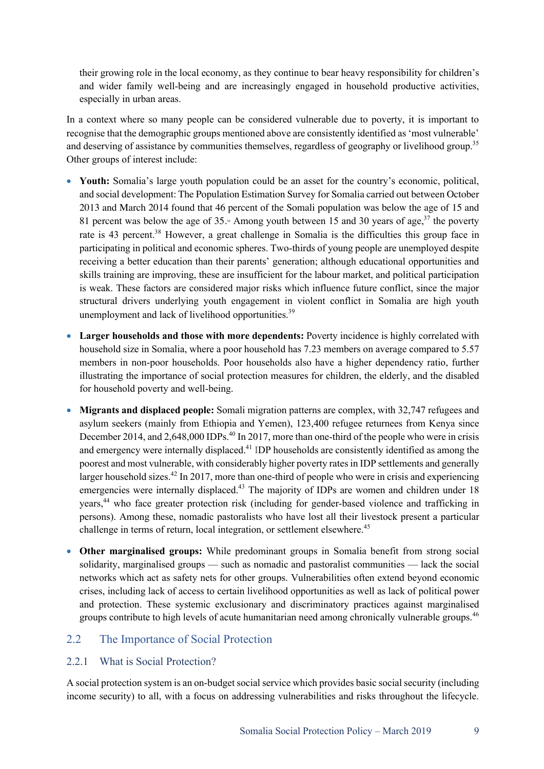their growing role in the local economy, as they continue to bear heavy responsibility for children's and wider family well-being and are increasingly engaged in household productive activities, especially in urban areas.

In a context where so many people can be considered vulnerable due to poverty, it is important to recognise that the demographic groups mentioned above are consistently identified as 'most vulnerable' and deserving of assistance by communities themselves, regardless of geography or livelihood group.<sup>35</sup> Other groups of interest include:

- **Youth:** Somalia's large youth population could be an asset for the country's economic, political, and social development: The Population Estimation Survey for Somalia carried out between October 2013 and March 2014 found that 46 percent of the Somali population was below the age of 15 and 81 percent was below the age of 35. $\cdot$  Among youth between 15 and 30 years of age,  $37$  the poverty rate is 43 percent.<sup>38</sup> However, a great challenge in Somalia is the difficulties this group face in participating in political and economic spheres. Two-thirds of young people are unemployed despite receiving a better education than their parents' generation; although educational opportunities and skills training are improving, these are insufficient for the labour market, and political participation is weak. These factors are considered major risks which influence future conflict, since the major structural drivers underlying youth engagement in violent conflict in Somalia are high youth unemployment and lack of livelihood opportunities.<sup>39</sup>
- **Larger households and those with more dependents:** Poverty incidence is highly correlated with household size in Somalia, where a poor household has 7.23 members on average compared to 5.57 members in non-poor households. Poor households also have a higher dependency ratio, further illustrating the importance of social protection measures for children, the elderly, and the disabled for household poverty and well-being.
- **Migrants and displaced people:** Somali migration patterns are complex, with 32,747 refugees and asylum seekers (mainly from Ethiopia and Yemen), 123,400 refugee returnees from Kenya since December 2014, and 2,648,000 IDPs.<sup>40</sup> In 2017, more than one-third of the people who were in crisis and emergency were internally displaced.<sup>41</sup> IDP households are consistently identified as among the poorest and most vulnerable, with considerably higher poverty rates in IDP settlements and generally larger household sizes.<sup>42</sup> In 2017, more than one-third of people who were in crisis and experiencing emergencies were internally displaced.<sup>43</sup> The majority of IDPs are women and children under 18 years,<sup>44</sup> who face greater protection risk (including for gender-based violence and trafficking in persons). Among these, nomadic pastoralists who have lost all their livestock present a particular challenge in terms of return, local integration, or settlement elsewhere.<sup>45</sup>
- **Other marginalised groups:** While predominant groups in Somalia benefit from strong social solidarity, marginalised groups — such as nomadic and pastoralist communities — lack the social networks which act as safety nets for other groups. Vulnerabilities often extend beyond economic crises, including lack of access to certain livelihood opportunities as well as lack of political power and protection. These systemic exclusionary and discriminatory practices against marginalised groups contribute to high levels of acute humanitarian need among chronically vulnerable groups.<sup>46</sup>

### 2.2 The Importance of Social Protection

#### 2.2.1 What is Social Protection?

A social protection system is an on-budget social service which provides basic social security (including income security) to all, with a focus on addressing vulnerabilities and risks throughout the lifecycle.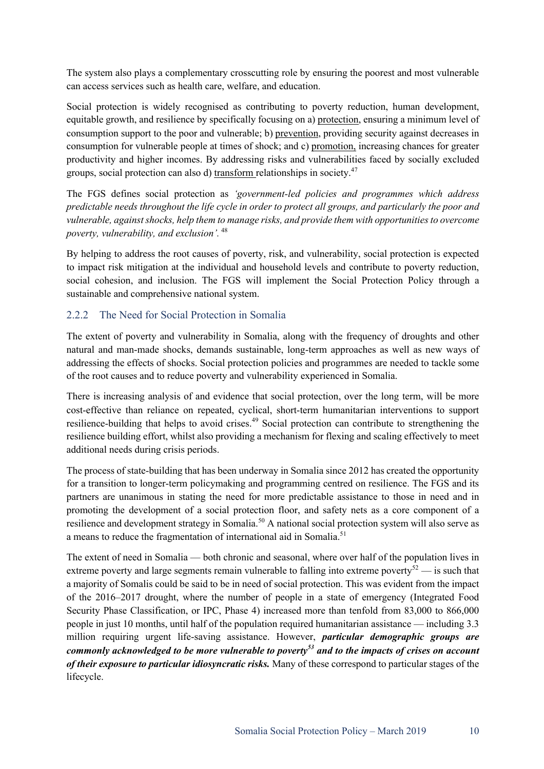The system also plays a complementary crosscutting role by ensuring the poorest and most vulnerable can access services such as health care, welfare, and education.

Social protection is widely recognised as contributing to poverty reduction, human development, equitable growth, and resilience by specifically focusing on a) protection, ensuring a minimum level of consumption support to the poor and vulnerable; b) prevention, providing security against decreases in consumption for vulnerable people at times of shock; and c) promotion, increasing chances for greater productivity and higher incomes. By addressing risks and vulnerabilities faced by socially excluded groups, social protection can also d) transform relationships in society.<sup>47</sup>

The FGS defines social protection as *'government-led policies and programmes which address predictable needs throughout the life cycle in order to protect all groups, and particularly the poor and vulnerable, against shocks, help them to manage risks, and provide them with opportunities to overcome poverty, vulnerability, and exclusion'.* 48

By helping to address the root causes of poverty, risk, and vulnerability, social protection is expected to impact risk mitigation at the individual and household levels and contribute to poverty reduction, social cohesion, and inclusion. The FGS will implement the Social Protection Policy through a sustainable and comprehensive national system.

### 2.2.2 The Need for Social Protection in Somalia

The extent of poverty and vulnerability in Somalia, along with the frequency of droughts and other natural and man-made shocks, demands sustainable, long-term approaches as well as new ways of addressing the effects of shocks. Social protection policies and programmes are needed to tackle some of the root causes and to reduce poverty and vulnerability experienced in Somalia.

There is increasing analysis of and evidence that social protection, over the long term, will be more cost-effective than reliance on repeated, cyclical, short-term humanitarian interventions to support resilience-building that helps to avoid crises.<sup>49</sup> Social protection can contribute to strengthening the resilience building effort, whilst also providing a mechanism for flexing and scaling effectively to meet additional needs during crisis periods.

The process of state-building that has been underway in Somalia since 2012 has created the opportunity for a transition to longer-term policymaking and programming centred on resilience. The FGS and its partners are unanimous in stating the need for more predictable assistance to those in need and in promoting the development of a social protection floor, and safety nets as a core component of a resilience and development strategy in Somalia.<sup>50</sup> A national social protection system will also serve as a means to reduce the fragmentation of international aid in Somalia.<sup>51</sup>

The extent of need in Somalia — both chronic and seasonal, where over half of the population lives in extreme poverty and large segments remain vulnerable to falling into extreme poverty<sup>52</sup> — is such that a majority of Somalis could be said to be in need of social protection. This was evident from the impact of the 2016–2017 drought, where the number of people in a state of emergency (Integrated Food Security Phase Classification, or IPC, Phase 4) increased more than tenfold from 83,000 to 866,000 people in just 10 months, until half of the population required humanitarian assistance — including 3.3 million requiring urgent life-saving assistance. However, *particular demographic groups are commonly acknowledged to be more vulnerable to poverty<sup>53</sup> and to the impacts of crises on account of their exposure to particular idiosyncratic risks.* Many of these correspond to particular stages of the lifecycle.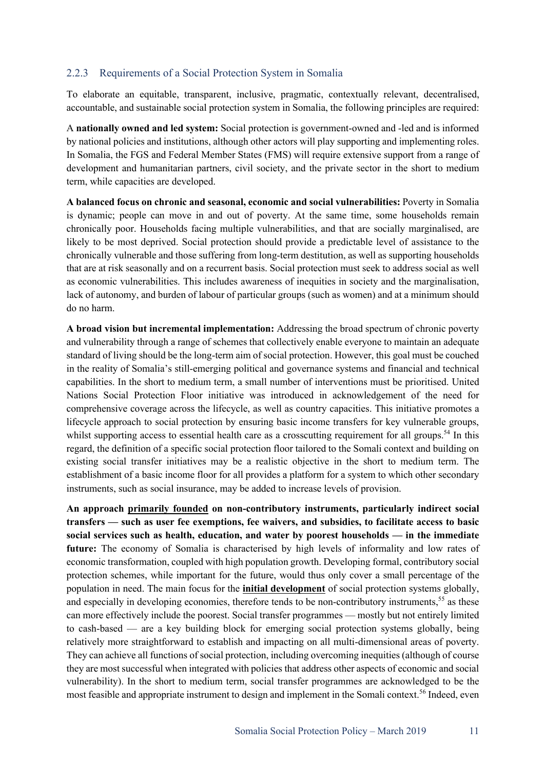#### 2.2.3 Requirements of a Social Protection System in Somalia

To elaborate an equitable, transparent, inclusive, pragmatic, contextually relevant, decentralised, accountable, and sustainable social protection system in Somalia, the following principles are required:

A **nationally owned and led system:** Social protection is government-owned and -led and is informed by national policies and institutions, although other actors will play supporting and implementing roles. In Somalia, the FGS and Federal Member States (FMS) will require extensive support from a range of development and humanitarian partners, civil society, and the private sector in the short to medium term, while capacities are developed.

**A balanced focus on chronic and seasonal, economic and social vulnerabilities:** Poverty in Somalia is dynamic; people can move in and out of poverty. At the same time, some households remain chronically poor. Households facing multiple vulnerabilities, and that are socially marginalised, are likely to be most deprived. Social protection should provide a predictable level of assistance to the chronically vulnerable and those suffering from long-term destitution, as well as supporting households that are at risk seasonally and on a recurrent basis. Social protection must seek to address social as well as economic vulnerabilities. This includes awareness of inequities in society and the marginalisation, lack of autonomy, and burden of labour of particular groups (such as women) and at a minimum should do no harm.

**A broad vision but incremental implementation:** Addressing the broad spectrum of chronic poverty and vulnerability through a range of schemes that collectively enable everyone to maintain an adequate standard of living should be the long-term aim of social protection. However, this goal must be couched in the reality of Somalia's still-emerging political and governance systems and financial and technical capabilities. In the short to medium term, a small number of interventions must be prioritised. United Nations Social Protection Floor initiative was introduced in acknowledgement of the need for comprehensive coverage across the lifecycle, as well as country capacities. This initiative promotes a lifecycle approach to social protection by ensuring basic income transfers for key vulnerable groups, whilst supporting access to essential health care as a crosscutting requirement for all groups.<sup>54</sup> In this regard, the definition of a specific social protection floor tailored to the Somali context and building on existing social transfer initiatives may be a realistic objective in the short to medium term. The establishment of a basic income floor for all provides a platform for a system to which other secondary instruments, such as social insurance, may be added to increase levels of provision.

**An approach primarily founded on non-contributory instruments, particularly indirect social transfers — such as user fee exemptions, fee waivers, and subsidies, to facilitate access to basic social services such as health, education, and water by poorest households — in the immediate future:** The economy of Somalia is characterised by high levels of informality and low rates of economic transformation, coupled with high population growth. Developing formal, contributory social protection schemes, while important for the future, would thus only cover a small percentage of the population in need. The main focus for the **initial development** of social protection systems globally, and especially in developing economies, therefore tends to be non-contributory instruments,<sup>55</sup> as these can more effectively include the poorest. Social transfer programmes — mostly but not entirely limited to cash-based — are a key building block for emerging social protection systems globally, being relatively more straightforward to establish and impacting on all multi-dimensional areas of poverty. They can achieve all functions of social protection, including overcoming inequities (although of course they are most successful when integrated with policies that address other aspects of economic and social vulnerability). In the short to medium term, social transfer programmes are acknowledged to be the most feasible and appropriate instrument to design and implement in the Somali context.<sup>56</sup> Indeed, even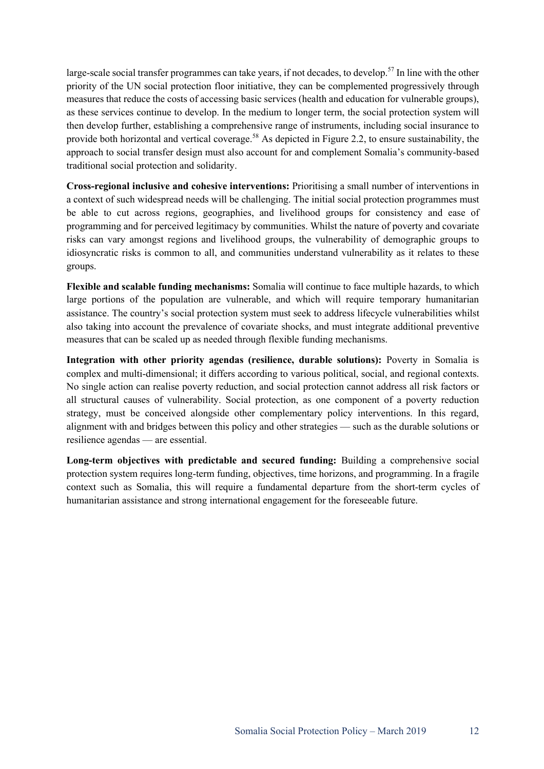large-scale social transfer programmes can take years, if not decades, to develop.<sup>57</sup> In line with the other priority of the UN social protection floor initiative, they can be complemented progressively through measures that reduce the costs of accessing basic services (health and education for vulnerable groups), as these services continue to develop. In the medium to longer term, the social protection system will then develop further, establishing a comprehensive range of instruments, including social insurance to provide both horizontal and vertical coverage.<sup>58</sup> As depicted in Figure 2.2, to ensure sustainability, the approach to social transfer design must also account for and complement Somalia's community-based traditional social protection and solidarity.

**Cross-regional inclusive and cohesive interventions:** Prioritising a small number of interventions in a context of such widespread needs will be challenging. The initial social protection programmes must be able to cut across regions, geographies, and livelihood groups for consistency and ease of programming and for perceived legitimacy by communities. Whilst the nature of poverty and covariate risks can vary amongst regions and livelihood groups, the vulnerability of demographic groups to idiosyncratic risks is common to all, and communities understand vulnerability as it relates to these groups.

**Flexible and scalable funding mechanisms:** Somalia will continue to face multiple hazards, to which large portions of the population are vulnerable, and which will require temporary humanitarian assistance. The country's social protection system must seek to address lifecycle vulnerabilities whilst also taking into account the prevalence of covariate shocks, and must integrate additional preventive measures that can be scaled up as needed through flexible funding mechanisms.

**Integration with other priority agendas (resilience, durable solutions):** Poverty in Somalia is complex and multi-dimensional; it differs according to various political, social, and regional contexts. No single action can realise poverty reduction, and social protection cannot address all risk factors or all structural causes of vulnerability. Social protection, as one component of a poverty reduction strategy, must be conceived alongside other complementary policy interventions. In this regard, alignment with and bridges between this policy and other strategies — such as the durable solutions or resilience agendas — are essential.

**Long-term objectives with predictable and secured funding:** Building a comprehensive social protection system requires long-term funding, objectives, time horizons, and programming. In a fragile context such as Somalia, this will require a fundamental departure from the short-term cycles of humanitarian assistance and strong international engagement for the foreseeable future.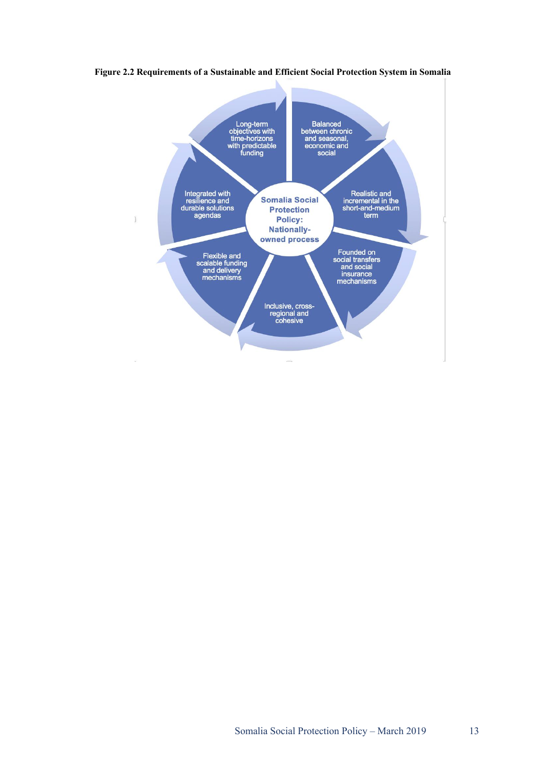

**Figure 2.2 Requirements of a Sustainable and Efficient Social Protection System in Somalia**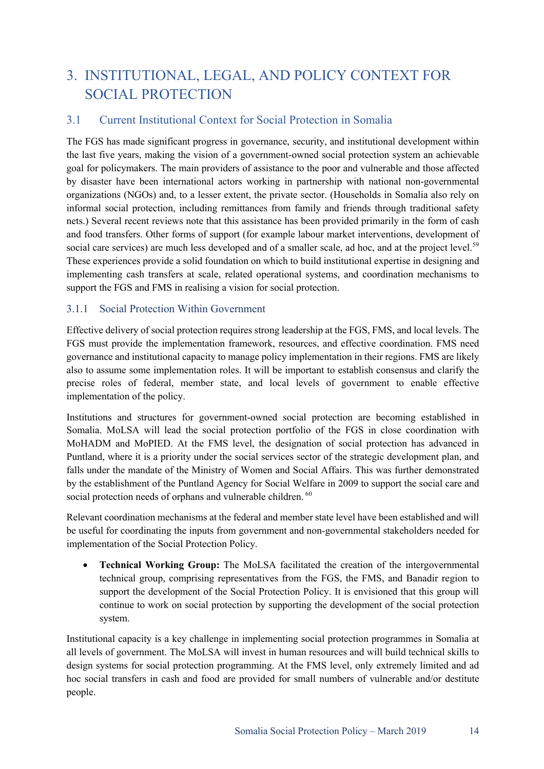# 3. INSTITUTIONAL, LEGAL, AND POLICY CONTEXT FOR SOCIAL PROTECTION

# 3.1 Current Institutional Context for Social Protection in Somalia

The FGS has made significant progress in governance, security, and institutional development within the last five years, making the vision of a government-owned social protection system an achievable goal for policymakers. The main providers of assistance to the poor and vulnerable and those affected by disaster have been international actors working in partnership with national non-governmental organizations (NGOs) and, to a lesser extent, the private sector. (Households in Somalia also rely on informal social protection, including remittances from family and friends through traditional safety nets.) Several recent reviews note that this assistance has been provided primarily in the form of cash and food transfers. Other forms of support (for example labour market interventions, development of social care services) are much less developed and of a smaller scale, ad hoc, and at the project level.<sup>59</sup> These experiences provide a solid foundation on which to build institutional expertise in designing and implementing cash transfers at scale, related operational systems, and coordination mechanisms to support the FGS and FMS in realising a vision for social protection.

#### 3.1.1 Social Protection Within Government

Effective delivery of social protection requires strong leadership at the FGS, FMS, and local levels. The FGS must provide the implementation framework, resources, and effective coordination. FMS need governance and institutional capacity to manage policy implementation in their regions. FMS are likely also to assume some implementation roles. It will be important to establish consensus and clarify the precise roles of federal, member state, and local levels of government to enable effective implementation of the policy.

Institutions and structures for government-owned social protection are becoming established in Somalia. MoLSA will lead the social protection portfolio of the FGS in close coordination with MoHADM and MoPIED. At the FMS level, the designation of social protection has advanced in Puntland, where it is a priority under the social services sector of the strategic development plan, and falls under the mandate of the Ministry of Women and Social Affairs. This was further demonstrated by the establishment of the Puntland Agency for Social Welfare in 2009 to support the social care and social protection needs of orphans and vulnerable children. <sup>60</sup>

Relevant coordination mechanisms at the federal and member state level have been established and will be useful for coordinating the inputs from government and non-governmental stakeholders needed for implementation of the Social Protection Policy.

• **Technical Working Group:** The MoLSA facilitated the creation of the intergovernmental technical group, comprising representatives from the FGS, the FMS, and Banadir region to support the development of the Social Protection Policy. It is envisioned that this group will continue to work on social protection by supporting the development of the social protection system.

Institutional capacity is a key challenge in implementing social protection programmes in Somalia at all levels of government. The MoLSA will invest in human resources and will build technical skills to design systems for social protection programming. At the FMS level, only extremely limited and ad hoc social transfers in cash and food are provided for small numbers of vulnerable and/or destitute people.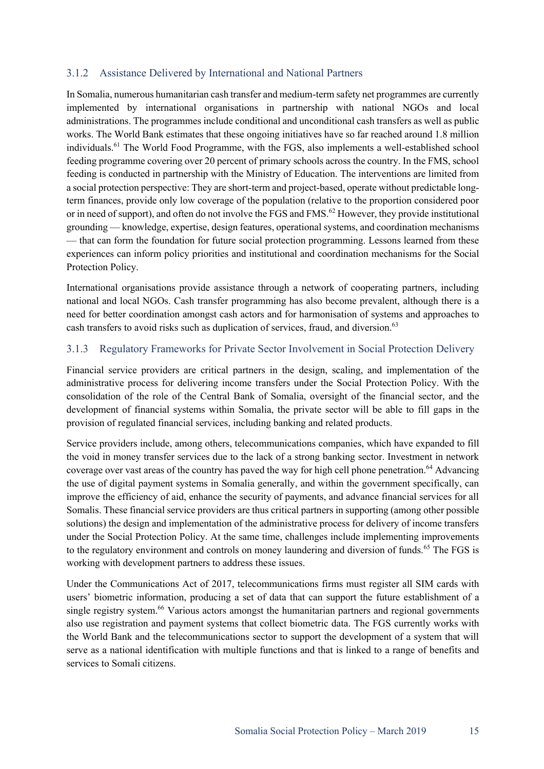## 3.1.2 Assistance Delivered by International and National Partners

In Somalia, numerous humanitarian cash transfer and medium-term safety net programmes are currently implemented by international organisations in partnership with national NGOs and local administrations. The programmes include conditional and unconditional cash transfers as well as public works. The World Bank estimates that these ongoing initiatives have so far reached around 1.8 million individuals.<sup>61</sup> The World Food Programme, with the FGS, also implements a well-established school feeding programme covering over 20 percent of primary schools across the country. In the FMS, school feeding is conducted in partnership with the Ministry of Education. The interventions are limited from a social protection perspective: They are short-term and project-based, operate without predictable longterm finances, provide only low coverage of the population (relative to the proportion considered poor or in need of support), and often do not involve the FGS and FMS.<sup>62</sup> However, they provide institutional grounding — knowledge, expertise, design features, operational systems, and coordination mechanisms — that can form the foundation for future social protection programming. Lessons learned from these experiences can inform policy priorities and institutional and coordination mechanisms for the Social Protection Policy.

International organisations provide assistance through a network of cooperating partners, including national and local NGOs. Cash transfer programming has also become prevalent, although there is a need for better coordination amongst cash actors and for harmonisation of systems and approaches to cash transfers to avoid risks such as duplication of services, fraud, and diversion.<sup>63</sup>

### 3.1.3 Regulatory Frameworks for Private Sector Involvement in Social Protection Delivery

Financial service providers are critical partners in the design, scaling, and implementation of the administrative process for delivering income transfers under the Social Protection Policy. With the consolidation of the role of the Central Bank of Somalia, oversight of the financial sector, and the development of financial systems within Somalia, the private sector will be able to fill gaps in the provision of regulated financial services, including banking and related products.

Service providers include, among others, telecommunications companies, which have expanded to fill the void in money transfer services due to the lack of a strong banking sector. Investment in network coverage over vast areas of the country has paved the way for high cell phone penetration.<sup>64</sup> Advancing the use of digital payment systems in Somalia generally, and within the government specifically, can improve the efficiency of aid, enhance the security of payments, and advance financial services for all Somalis. These financial service providers are thus critical partners in supporting (among other possible solutions) the design and implementation of the administrative process for delivery of income transfers under the Social Protection Policy. At the same time, challenges include implementing improvements to the regulatory environment and controls on money laundering and diversion of funds.<sup>65</sup> The FGS is working with development partners to address these issues.

Under the Communications Act of 2017, telecommunications firms must register all SIM cards with users' biometric information, producing a set of data that can support the future establishment of a single registry system.<sup>66</sup> Various actors amongst the humanitarian partners and regional governments also use registration and payment systems that collect biometric data. The FGS currently works with the World Bank and the telecommunications sector to support the development of a system that will serve as a national identification with multiple functions and that is linked to a range of benefits and services to Somali citizens.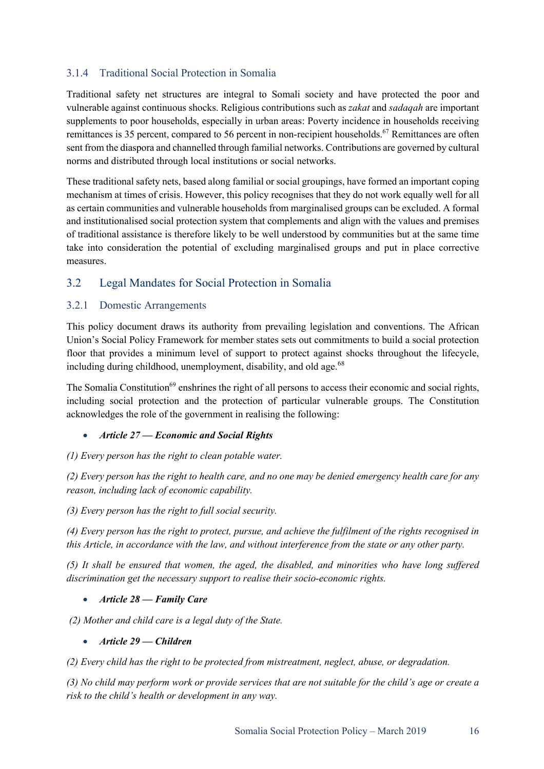# 3.1.4 Traditional Social Protection in Somalia

Traditional safety net structures are integral to Somali society and have protected the poor and vulnerable against continuous shocks. Religious contributions such as *zakat* and *sadaqah* are important supplements to poor households, especially in urban areas: Poverty incidence in households receiving remittances is 35 percent, compared to 56 percent in non-recipient households.<sup>67</sup> Remittances are often sent from the diaspora and channelled through familial networks. Contributions are governed by cultural norms and distributed through local institutions or social networks.

These traditional safety nets, based along familial or social groupings, have formed an important coping mechanism at times of crisis. However, this policy recognises that they do not work equally well for all as certain communities and vulnerable households from marginalised groups can be excluded. A formal and institutionalised social protection system that complements and align with the values and premises of traditional assistance is therefore likely to be well understood by communities but at the same time take into consideration the potential of excluding marginalised groups and put in place corrective measures.

# 3.2 Legal Mandates for Social Protection in Somalia

### 3.2.1 Domestic Arrangements

This policy document draws its authority from prevailing legislation and conventions. The African Union's Social Policy Framework for member states sets out commitments to build a social protection floor that provides a minimum level of support to protect against shocks throughout the lifecycle, including during childhood, unemployment, disability, and old age.  $68$ 

The Somalia Constitution<sup>69</sup> enshrines the right of all persons to access their economic and social rights, including social protection and the protection of particular vulnerable groups. The Constitution acknowledges the role of the government in realising the following:

#### • *Article 27 — Economic and Social Rights*

#### *(1) Every person has the right to clean potable water.*

*(2) Every person has the right to health care, and no one may be denied emergency health care for any reason, including lack of economic capability.*

*(3) Every person has the right to full social security.*

*(4) Every person has the right to protect, pursue, and achieve the fulfilment of the rights recognised in this Article, in accordance with the law, and without interference from the state or any other party.*

*(5) It shall be ensured that women, the aged, the disabled, and minorities who have long suffered discrimination get the necessary support to realise their socio-economic rights.*

#### • *Article 28 — Family Care*

*(2) Mother and child care is a legal duty of the State.*

#### • *Article 29 — Children*

*(2) Every child has the right to be protected from mistreatment, neglect, abuse, or degradation.*

*(3) No child may perform work or provide services that are not suitable for the child's age or create a risk to the child's health or development in any way.*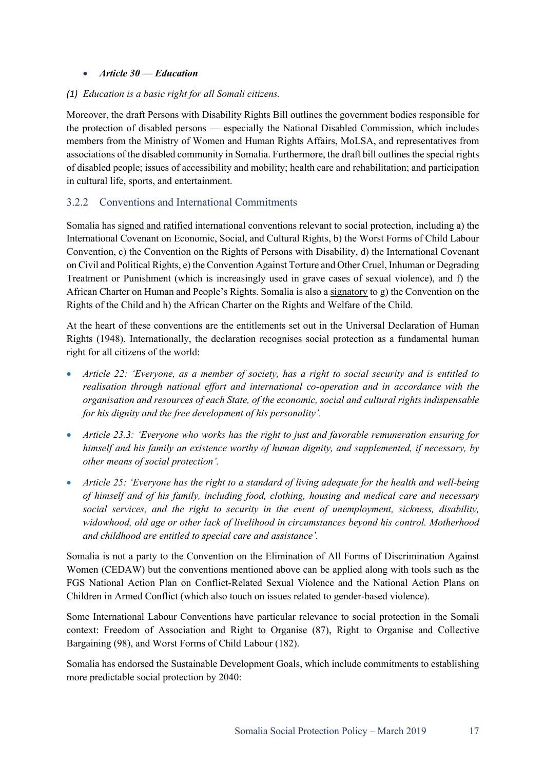#### • *Article 30 — Education*

#### *(1) Education is a basic right for all Somali citizens.*

Moreover, the draft Persons with Disability Rights Bill outlines the government bodies responsible for the protection of disabled persons — especially the National Disabled Commission, which includes members from the Ministry of Women and Human Rights Affairs, MoLSA, and representatives from associations of the disabled community in Somalia. Furthermore, the draft bill outlines the special rights of disabled people; issues of accessibility and mobility; health care and rehabilitation; and participation in cultural life, sports, and entertainment.

# 3.2.2 Conventions and International Commitments

Somalia has signed and ratified international conventions relevant to social protection, including a) the International Covenant on Economic, Social, and Cultural Rights, b) the Worst Forms of Child Labour Convention, c) the Convention on the Rights of Persons with Disability, d) the International Covenant on Civil and Political Rights, e) the Convention Against Torture and Other Cruel, Inhuman or Degrading Treatment or Punishment (which is increasingly used in grave cases of sexual violence), and f) the African Charter on Human and People's Rights. Somalia is also a signatory to g) the Convention on the Rights of the Child and h) the African Charter on the Rights and Welfare of the Child.

At the heart of these conventions are the entitlements set out in the Universal Declaration of Human Rights (1948). Internationally, the declaration recognises social protection as a fundamental human right for all citizens of the world:

- *Article 22: 'Everyone, as a member of society, has a right to social security and is entitled to realisation through national effort and international co-operation and in accordance with the organisation and resources of each State, of the economic, social and cultural rights indispensable for his dignity and the free development of his personality'.*
- *Article 23.3: 'Everyone who works has the right to just and favorable remuneration ensuring for himself and his family an existence worthy of human dignity, and supplemented, if necessary, by other means of social protection'.*
- *Article 25: 'Everyone has the right to a standard of living adequate for the health and well-being of himself and of his family, including food, clothing, housing and medical care and necessary social services, and the right to security in the event of unemployment, sickness, disability, widowhood, old age or other lack of livelihood in circumstances beyond his control. Motherhood and childhood are entitled to special care and assistance'.*

Somalia is not a party to the Convention on the Elimination of All Forms of Discrimination Against Women (CEDAW) but the conventions mentioned above can be applied along with tools such as the FGS National Action Plan on Conflict-Related Sexual Violence and the National Action Plans on Children in Armed Conflict (which also touch on issues related to gender-based violence).

Some International Labour Conventions have particular relevance to social protection in the Somali context: Freedom of Association and Right to Organise (87), Right to Organise and Collective Bargaining (98), and Worst Forms of Child Labour (182).

Somalia has endorsed the Sustainable Development Goals, which include commitments to establishing more predictable social protection by 2040: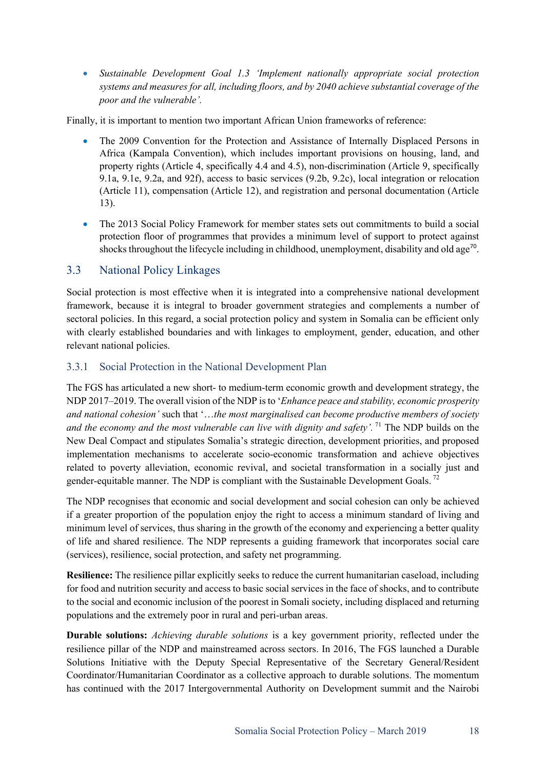• *Sustainable Development Goal 1.3 'Implement nationally appropriate social protection systems and measures for all, including floors, and by 2040 achieve substantial coverage of the poor and the vulnerable'.*

Finally, it is important to mention two important African Union frameworks of reference:

- The 2009 Convention for the Protection and Assistance of Internally Displaced Persons in Africa (Kampala Convention), which includes important provisions on housing, land, and property rights (Article 4, specifically 4.4 and 4.5), non-discrimination (Article 9, specifically 9.1a, 9.1e, 9.2a, and 92f), access to basic services (9.2b, 9.2c), local integration or relocation (Article 11), compensation (Article 12), and registration and personal documentation (Article 13).
- The 2013 Social Policy Framework for member states sets out commitments to build a social protection floor of programmes that provides a minimum level of support to protect against shocks throughout the lifecycle including in childhood, unemployment, disability and old age<sup>70</sup>.

# 3.3 National Policy Linkages

Social protection is most effective when it is integrated into a comprehensive national development framework, because it is integral to broader government strategies and complements a number of sectoral policies. In this regard, a social protection policy and system in Somalia can be efficient only with clearly established boundaries and with linkages to employment, gender, education, and other relevant national policies.

#### 3.3.1 Social Protection in the National Development Plan

The FGS has articulated a new short- to medium-term economic growth and development strategy, the NDP 2017–2019. The overall vision of the NDP is to '*Enhance peace and stability, economic prosperity and national cohesion'* such that '…*the most marginalised can become productive members of society and the economy and the most vulnerable can live with dignity and safety'.* <sup>71</sup> The NDP builds on the New Deal Compact and stipulates Somalia's strategic direction, development priorities, and proposed implementation mechanisms to accelerate socio-economic transformation and achieve objectives related to poverty alleviation, economic revival, and societal transformation in a socially just and gender-equitable manner. The NDP is compliant with the Sustainable Development Goals.<sup>72</sup>

The NDP recognises that economic and social development and social cohesion can only be achieved if a greater proportion of the population enjoy the right to access a minimum standard of living and minimum level of services, thus sharing in the growth of the economy and experiencing a better quality of life and shared resilience. The NDP represents a guiding framework that incorporates social care (services), resilience, social protection, and safety net programming.

**Resilience:** The resilience pillar explicitly seeks to reduce the current humanitarian caseload, including for food and nutrition security and access to basic social services in the face of shocks, and to contribute to the social and economic inclusion of the poorest in Somali society, including displaced and returning populations and the extremely poor in rural and peri-urban areas.

**Durable solutions:** *Achieving durable solutions* is a key government priority, reflected under the resilience pillar of the NDP and mainstreamed across sectors. In 2016, The FGS launched a Durable Solutions Initiative with the Deputy Special Representative of the Secretary General/Resident Coordinator/Humanitarian Coordinator as a collective approach to durable solutions. The momentum has continued with the 2017 Intergovernmental Authority on Development summit and the Nairobi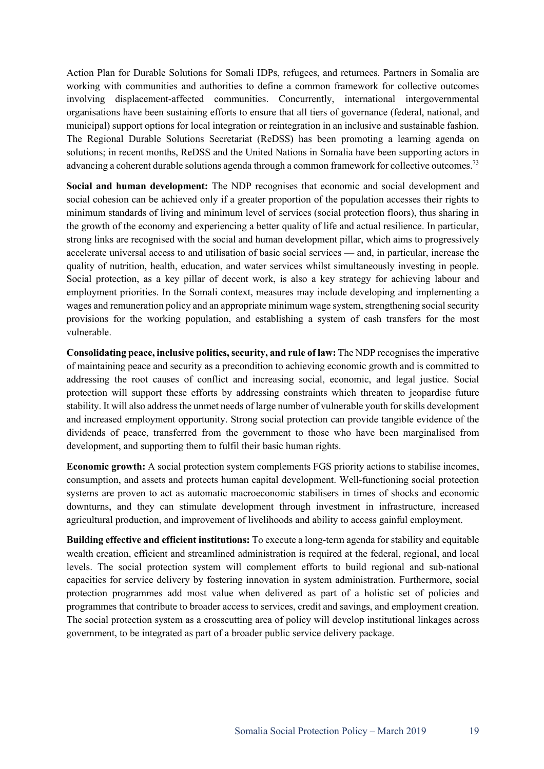Action Plan for Durable Solutions for Somali IDPs, refugees, and returnees. Partners in Somalia are working with communities and authorities to define a common framework for collective outcomes involving displacement-affected communities. Concurrently, international intergovernmental organisations have been sustaining efforts to ensure that all tiers of governance (federal, national, and municipal) support options for local integration or reintegration in an inclusive and sustainable fashion. The Regional Durable Solutions Secretariat (ReDSS) has been promoting a learning agenda on solutions; in recent months, ReDSS and the United Nations in Somalia have been supporting actors in advancing a coherent durable solutions agenda through a common framework for collective outcomes.<sup>73</sup>

**Social and human development:** The NDP recognises that economic and social development and social cohesion can be achieved only if a greater proportion of the population accesses their rights to minimum standards of living and minimum level of services (social protection floors), thus sharing in the growth of the economy and experiencing a better quality of life and actual resilience. In particular, strong links are recognised with the social and human development pillar, which aims to progressively accelerate universal access to and utilisation of basic social services — and, in particular, increase the quality of nutrition, health, education, and water services whilst simultaneously investing in people. Social protection, as a key pillar of decent work, is also a key strategy for achieving labour and employment priorities. In the Somali context, measures may include developing and implementing a wages and remuneration policy and an appropriate minimum wage system, strengthening social security provisions for the working population, and establishing a system of cash transfers for the most vulnerable.

**Consolidating peace, inclusive politics, security, and rule of law:** The NDP recognises the imperative of maintaining peace and security as a precondition to achieving economic growth and is committed to addressing the root causes of conflict and increasing social, economic, and legal justice. Social protection will support these efforts by addressing constraints which threaten to jeopardise future stability. It will also address the unmet needs of large number of vulnerable youth for skills development and increased employment opportunity. Strong social protection can provide tangible evidence of the dividends of peace, transferred from the government to those who have been marginalised from development, and supporting them to fulfil their basic human rights.

**Economic growth:** A social protection system complements FGS priority actions to stabilise incomes, consumption, and assets and protects human capital development. Well-functioning social protection systems are proven to act as automatic macroeconomic stabilisers in times of shocks and economic downturns, and they can stimulate development through investment in infrastructure, increased agricultural production, and improvement of livelihoods and ability to access gainful employment.

**Building effective and efficient institutions:** To execute a long-term agenda for stability and equitable wealth creation, efficient and streamlined administration is required at the federal, regional, and local levels. The social protection system will complement efforts to build regional and sub-national capacities for service delivery by fostering innovation in system administration. Furthermore, social protection programmes add most value when delivered as part of a holistic set of policies and programmes that contribute to broader access to services, credit and savings, and employment creation. The social protection system as a crosscutting area of policy will develop institutional linkages across government, to be integrated as part of a broader public service delivery package.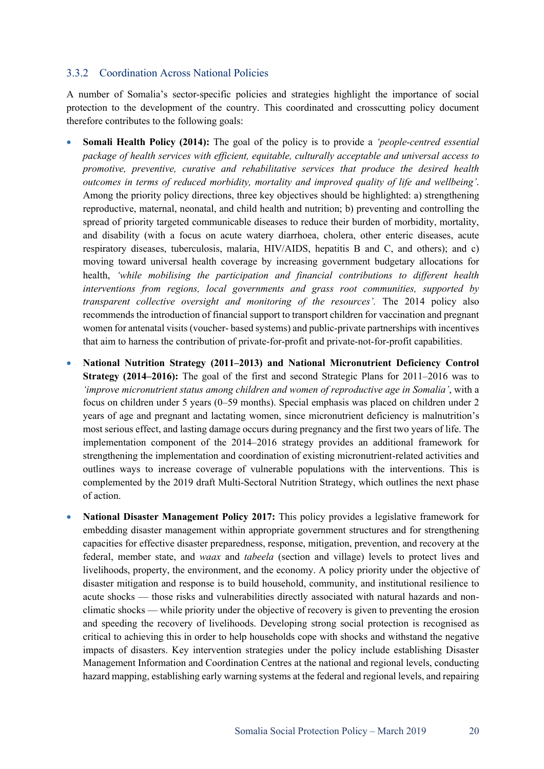#### 3.3.2 Coordination Across National Policies

A number of Somalia's sector-specific policies and strategies highlight the importance of social protection to the development of the country. This coordinated and crosscutting policy document therefore contributes to the following goals:

- **Somali Health Policy (2014):** The goal of the policy is to provide a *'people-centred essential package of health services with efficient, equitable, culturally acceptable and universal access to promotive, preventive, curative and rehabilitative services that produce the desired health outcomes in terms of reduced morbidity, mortality and improved quality of life and wellbeing'*. Among the priority policy directions, three key objectives should be highlighted: a) strengthening reproductive, maternal, neonatal, and child health and nutrition; b) preventing and controlling the spread of priority targeted communicable diseases to reduce their burden of morbidity, mortality, and disability (with a focus on acute watery diarrhoea, cholera, other enteric diseases, acute respiratory diseases, tuberculosis, malaria, HIV/AIDS, hepatitis B and C, and others); and c) moving toward universal health coverage by increasing government budgetary allocations for health, *'while mobilising the participation and financial contributions to different health interventions from regions, local governments and grass root communities, supported by transparent collective oversight and monitoring of the resources'.* The 2014 policy also recommends the introduction of financial support to transport children for vaccination and pregnant women for antenatal visits (voucher- based systems) and public-private partnerships with incentives that aim to harness the contribution of private-for-profit and private-not-for-profit capabilities.
- **National Nutrition Strategy (2011–2013) and National Micronutrient Deficiency Control Strategy (2014–2016):** The goal of the first and second Strategic Plans for 2011–2016 was to *'improve micronutrient status among children and women of reproductive age in Somalia'*, with a focus on children under 5 years (0–59 months). Special emphasis was placed on children under 2 years of age and pregnant and lactating women, since micronutrient deficiency is malnutrition's most serious effect, and lasting damage occurs during pregnancy and the first two years of life. The implementation component of the 2014–2016 strategy provides an additional framework for strengthening the implementation and coordination of existing micronutrient-related activities and outlines ways to increase coverage of vulnerable populations with the interventions. This is complemented by the 2019 draft Multi-Sectoral Nutrition Strategy, which outlines the next phase of action.
- **National Disaster Management Policy 2017:** This policy provides a legislative framework for embedding disaster management within appropriate government structures and for strengthening capacities for effective disaster preparedness, response, mitigation, prevention, and recovery at the federal, member state, and *waax* and *tabeela* (section and village) levels to protect lives and livelihoods, property, the environment, and the economy. A policy priority under the objective of disaster mitigation and response is to build household, community, and institutional resilience to acute shocks — those risks and vulnerabilities directly associated with natural hazards and nonclimatic shocks — while priority under the objective of recovery is given to preventing the erosion and speeding the recovery of livelihoods. Developing strong social protection is recognised as critical to achieving this in order to help households cope with shocks and withstand the negative impacts of disasters. Key intervention strategies under the policy include establishing Disaster Management Information and Coordination Centres at the national and regional levels, conducting hazard mapping, establishing early warning systems at the federal and regional levels, and repairing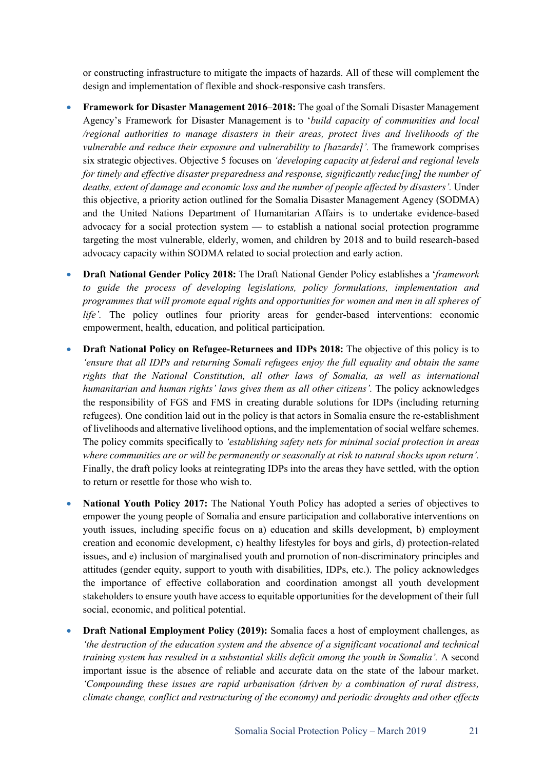or constructing infrastructure to mitigate the impacts of hazards. All of these will complement the design and implementation of flexible and shock-responsive cash transfers.

- **Framework for Disaster Management 2016–2018:** The goal of the Somali Disaster Management Agency's Framework for Disaster Management is to '*build capacity of communities and local /regional authorities to manage disasters in their areas, protect lives and livelihoods of the vulnerable and reduce their exposure and vulnerability to [hazards]'.* The framework comprises six strategic objectives. Objective 5 focuses on *'developing capacity at federal and regional levels for timely and effective disaster preparedness and response, significantly reduc[ing] the number of deaths, extent of damage and economic loss and the number of people affected by disasters'.* Under this objective, a priority action outlined for the Somalia Disaster Management Agency (SODMA) and the United Nations Department of Humanitarian Affairs is to undertake evidence-based advocacy for a social protection system — to establish a national social protection programme targeting the most vulnerable, elderly, women, and children by 2018 and to build research-based advocacy capacity within SODMA related to social protection and early action.
- **Draft National Gender Policy 2018:** The Draft National Gender Policy establishes a '*framework to guide the process of developing legislations, policy formulations, implementation and programmes that will promote equal rights and opportunities for women and men in all spheres of life'.* The policy outlines four priority areas for gender-based interventions: economic empowerment, health, education, and political participation.
- **Draft National Policy on Refugee-Returnees and IDPs 2018:** The objective of this policy is to *'ensure that all IDPs and returning Somali refugees enjoy the full equality and obtain the same rights that the National Constitution, all other laws of Somalia, as well as international humanitarian and human rights' laws gives them as all other citizens'*. The policy acknowledges the responsibility of FGS and FMS in creating durable solutions for IDPs (including returning refugees). One condition laid out in the policy is that actors in Somalia ensure the re-establishment of livelihoods and alternative livelihood options, and the implementation of social welfare schemes. The policy commits specifically to *'establishing safety nets for minimal social protection in areas where communities are or will be permanently or seasonally at risk to natural shocks upon return'.*  Finally, the draft policy looks at reintegrating IDPs into the areas they have settled, with the option to return or resettle for those who wish to.
- **National Youth Policy 2017:** The National Youth Policy has adopted a series of objectives to empower the young people of Somalia and ensure participation and collaborative interventions on youth issues, including specific focus on a) education and skills development, b) employment creation and economic development, c) healthy lifestyles for boys and girls, d) protection-related issues, and e) inclusion of marginalised youth and promotion of non-discriminatory principles and attitudes (gender equity, support to youth with disabilities, IDPs, etc.). The policy acknowledges the importance of effective collaboration and coordination amongst all youth development stakeholders to ensure youth have access to equitable opportunities for the development of their full social, economic, and political potential.
- **Draft National Employment Policy (2019):** Somalia faces a host of employment challenges, as *'the destruction of the education system and the absence of a significant vocational and technical training system has resulted in a substantial skills deficit among the youth in Somalia'.* A second important issue is the absence of reliable and accurate data on the state of the labour market. *'Compounding these issues are rapid urbanisation (driven by a combination of rural distress, climate change, conflict and restructuring of the economy) and periodic droughts and other effects*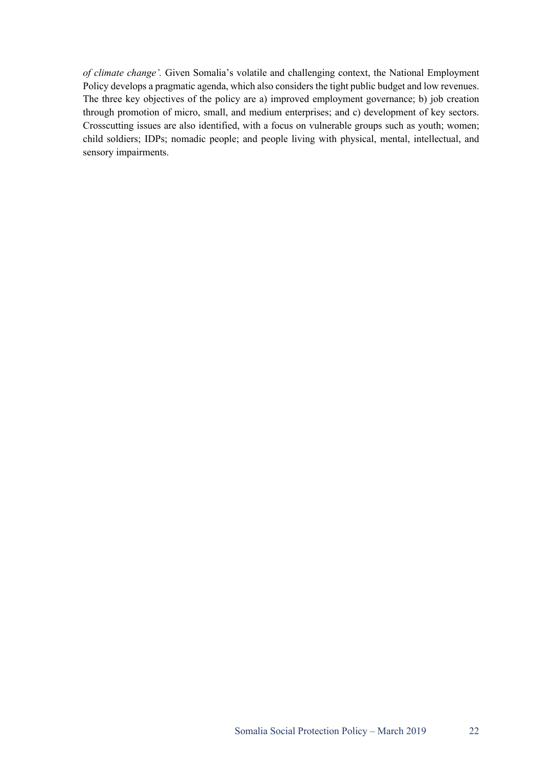*of climate change'.* Given Somalia's volatile and challenging context, the National Employment Policy develops a pragmatic agenda, which also considers the tight public budget and low revenues. The three key objectives of the policy are a) improved employment governance; b) job creation through promotion of micro, small, and medium enterprises; and c) development of key sectors. Crosscutting issues are also identified, with a focus on vulnerable groups such as youth; women; child soldiers; IDPs; nomadic people; and people living with physical, mental, intellectual, and sensory impairments.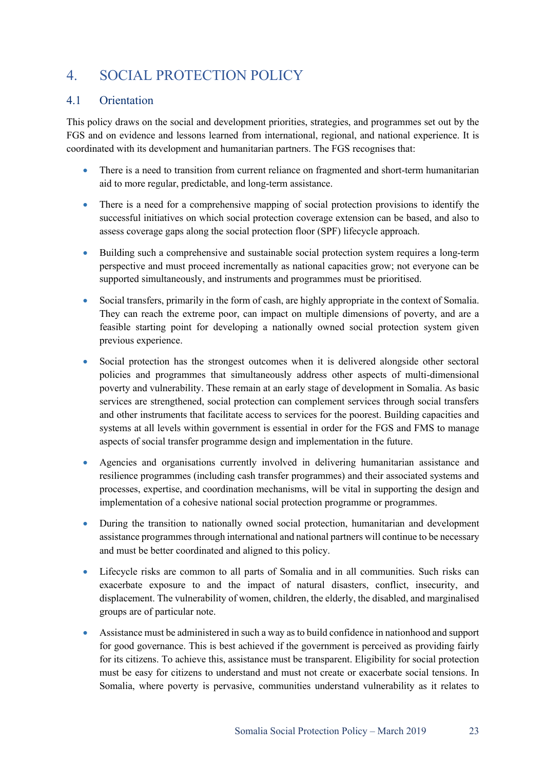# 4. SOCIAL PROTECTION POLICY

# 4.1 Orientation

This policy draws on the social and development priorities, strategies, and programmes set out by the FGS and on evidence and lessons learned from international, regional, and national experience. It is coordinated with its development and humanitarian partners. The FGS recognises that:

- There is a need to transition from current reliance on fragmented and short-term humanitarian aid to more regular, predictable, and long-term assistance.
- There is a need for a comprehensive mapping of social protection provisions to identify the successful initiatives on which social protection coverage extension can be based, and also to assess coverage gaps along the social protection floor (SPF) lifecycle approach.
- Building such a comprehensive and sustainable social protection system requires a long-term perspective and must proceed incrementally as national capacities grow; not everyone can be supported simultaneously, and instruments and programmes must be prioritised.
- Social transfers, primarily in the form of cash, are highly appropriate in the context of Somalia. They can reach the extreme poor, can impact on multiple dimensions of poverty, and are a feasible starting point for developing a nationally owned social protection system given previous experience.
- Social protection has the strongest outcomes when it is delivered alongside other sectoral policies and programmes that simultaneously address other aspects of multi-dimensional poverty and vulnerability. These remain at an early stage of development in Somalia. As basic services are strengthened, social protection can complement services through social transfers and other instruments that facilitate access to services for the poorest. Building capacities and systems at all levels within government is essential in order for the FGS and FMS to manage aspects of social transfer programme design and implementation in the future.
- Agencies and organisations currently involved in delivering humanitarian assistance and resilience programmes (including cash transfer programmes) and their associated systems and processes, expertise, and coordination mechanisms, will be vital in supporting the design and implementation of a cohesive national social protection programme or programmes.
- During the transition to nationally owned social protection, humanitarian and development assistance programmes through international and national partners will continue to be necessary and must be better coordinated and aligned to this policy.
- Lifecycle risks are common to all parts of Somalia and in all communities. Such risks can exacerbate exposure to and the impact of natural disasters, conflict, insecurity, and displacement. The vulnerability of women, children, the elderly, the disabled, and marginalised groups are of particular note.
- Assistance must be administered in such a way as to build confidence in nationhood and support for good governance. This is best achieved if the government is perceived as providing fairly for its citizens. To achieve this, assistance must be transparent. Eligibility for social protection must be easy for citizens to understand and must not create or exacerbate social tensions. In Somalia, where poverty is pervasive, communities understand vulnerability as it relates to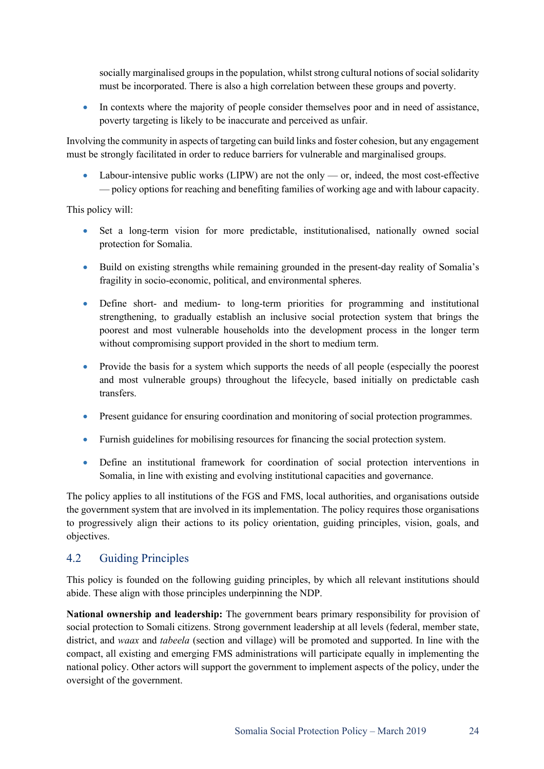socially marginalised groups in the population, whilst strong cultural notions of social solidarity must be incorporated. There is also a high correlation between these groups and poverty.

• In contexts where the majority of people consider themselves poor and in need of assistance, poverty targeting is likely to be inaccurate and perceived as unfair.

Involving the community in aspects of targeting can build links and foster cohesion, but any engagement must be strongly facilitated in order to reduce barriers for vulnerable and marginalised groups.

• Labour-intensive public works (LIPW) are not the only — or, indeed, the most cost-effective — policy options for reaching and benefiting families of working age and with labour capacity.

This policy will:

- Set a long-term vision for more predictable, institutionalised, nationally owned social protection for Somalia.
- Build on existing strengths while remaining grounded in the present-day reality of Somalia's fragility in socio-economic, political, and environmental spheres.
- Define short- and medium- to long-term priorities for programming and institutional strengthening, to gradually establish an inclusive social protection system that brings the poorest and most vulnerable households into the development process in the longer term without compromising support provided in the short to medium term.
- Provide the basis for a system which supports the needs of all people (especially the poorest and most vulnerable groups) throughout the lifecycle, based initially on predictable cash transfers.
- Present guidance for ensuring coordination and monitoring of social protection programmes.
- Furnish guidelines for mobilising resources for financing the social protection system.
- Define an institutional framework for coordination of social protection interventions in Somalia, in line with existing and evolving institutional capacities and governance.

The policy applies to all institutions of the FGS and FMS, local authorities, and organisations outside the government system that are involved in its implementation. The policy requires those organisations to progressively align their actions to its policy orientation, guiding principles, vision, goals, and objectives.

### 4.2 Guiding Principles

This policy is founded on the following guiding principles, by which all relevant institutions should abide. These align with those principles underpinning the NDP.

**National ownership and leadership:** The government bears primary responsibility for provision of social protection to Somali citizens. Strong government leadership at all levels (federal, member state, district, and *waax* and *tabeela* (section and village) will be promoted and supported. In line with the compact, all existing and emerging FMS administrations will participate equally in implementing the national policy. Other actors will support the government to implement aspects of the policy, under the oversight of the government.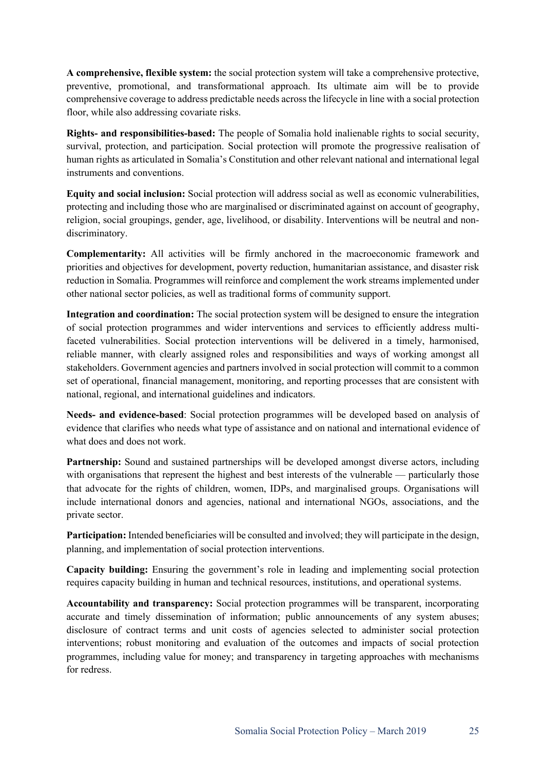**A comprehensive, flexible system:** the social protection system will take a comprehensive protective, preventive, promotional, and transformational approach. Its ultimate aim will be to provide comprehensive coverage to address predictable needs across the lifecycle in line with a social protection floor, while also addressing covariate risks.

**Rights- and responsibilities-based:** The people of Somalia hold inalienable rights to social security, survival, protection, and participation. Social protection will promote the progressive realisation of human rights as articulated in Somalia's Constitution and other relevant national and international legal instruments and conventions.

**Equity and social inclusion:** Social protection will address social as well as economic vulnerabilities, protecting and including those who are marginalised or discriminated against on account of geography, religion, social groupings, gender, age, livelihood, or disability. Interventions will be neutral and nondiscriminatory.

**Complementarity:** All activities will be firmly anchored in the macroeconomic framework and priorities and objectives for development, poverty reduction, humanitarian assistance, and disaster risk reduction in Somalia. Programmes will reinforce and complement the work streams implemented under other national sector policies, as well as traditional forms of community support.

**Integration and coordination:** The social protection system will be designed to ensure the integration of social protection programmes and wider interventions and services to efficiently address multifaceted vulnerabilities. Social protection interventions will be delivered in a timely, harmonised, reliable manner, with clearly assigned roles and responsibilities and ways of working amongst all stakeholders. Government agencies and partners involved in social protection will commit to a common set of operational, financial management, monitoring, and reporting processes that are consistent with national, regional, and international guidelines and indicators.

**Needs- and evidence-based**: Social protection programmes will be developed based on analysis of evidence that clarifies who needs what type of assistance and on national and international evidence of what does and does not work.

**Partnership:** Sound and sustained partnerships will be developed amongst diverse actors, including with organisations that represent the highest and best interests of the vulnerable — particularly those that advocate for the rights of children, women, IDPs, and marginalised groups. Organisations will include international donors and agencies, national and international NGOs, associations, and the private sector.

**Participation:** Intended beneficiaries will be consulted and involved; they will participate in the design, planning, and implementation of social protection interventions.

**Capacity building:** Ensuring the government's role in leading and implementing social protection requires capacity building in human and technical resources, institutions, and operational systems.

**Accountability and transparency:** Social protection programmes will be transparent, incorporating accurate and timely dissemination of information; public announcements of any system abuses; disclosure of contract terms and unit costs of agencies selected to administer social protection interventions; robust monitoring and evaluation of the outcomes and impacts of social protection programmes, including value for money; and transparency in targeting approaches with mechanisms for redress.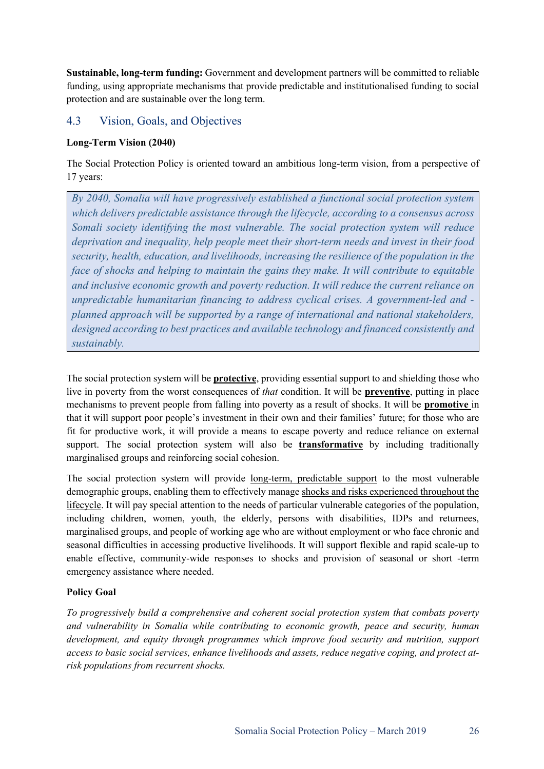**Sustainable, long-term funding:** Government and development partners will be committed to reliable funding, using appropriate mechanisms that provide predictable and institutionalised funding to social protection and are sustainable over the long term.

# 4.3 Vision, Goals, and Objectives

#### **Long-Term Vision (2040)**

The Social Protection Policy is oriented toward an ambitious long-term vision, from a perspective of 17 years:

*By 2040, Somalia will have progressively established a functional social protection system which delivers predictable assistance through the lifecycle, according to a consensus across Somali society identifying the most vulnerable. The social protection system will reduce deprivation and inequality, help people meet their short-term needs and invest in their food security, health, education, and livelihoods, increasing the resilience of the population in the face of shocks and helping to maintain the gains they make. It will contribute to equitable and inclusive economic growth and poverty reduction. It will reduce the current reliance on unpredictable humanitarian financing to address cyclical crises. A government-led and planned approach will be supported by a range of international and national stakeholders, designed according to best practices and available technology and financed consistently and sustainably.*

The social protection system will be **protective**, providing essential support to and shielding those who live in poverty from the worst consequences of *that* condition. It will be **preventive**, putting in place mechanisms to prevent people from falling into poverty as a result of shocks. It will be **promotive** in that it will support poor people's investment in their own and their families' future; for those who are fit for productive work, it will provide a means to escape poverty and reduce reliance on external support. The social protection system will also be **transformative** by including traditionally marginalised groups and reinforcing social cohesion.

The social protection system will provide long-term, predictable support to the most vulnerable demographic groups, enabling them to effectively manage shocks and risks experienced throughout the lifecycle. It will pay special attention to the needs of particular vulnerable categories of the population, including children, women, youth, the elderly, persons with disabilities, IDPs and returnees, marginalised groups, and people of working age who are without employment or who face chronic and seasonal difficulties in accessing productive livelihoods. It will support flexible and rapid scale-up to enable effective, community-wide responses to shocks and provision of seasonal or short -term emergency assistance where needed.

#### **Policy Goal**

*To progressively build a comprehensive and coherent social protection system that combats poverty and vulnerability in Somalia while contributing to economic growth, peace and security, human development, and equity through programmes which improve food security and nutrition, support access to basic social services, enhance livelihoods and assets, reduce negative coping, and protect atrisk populations from recurrent shocks.*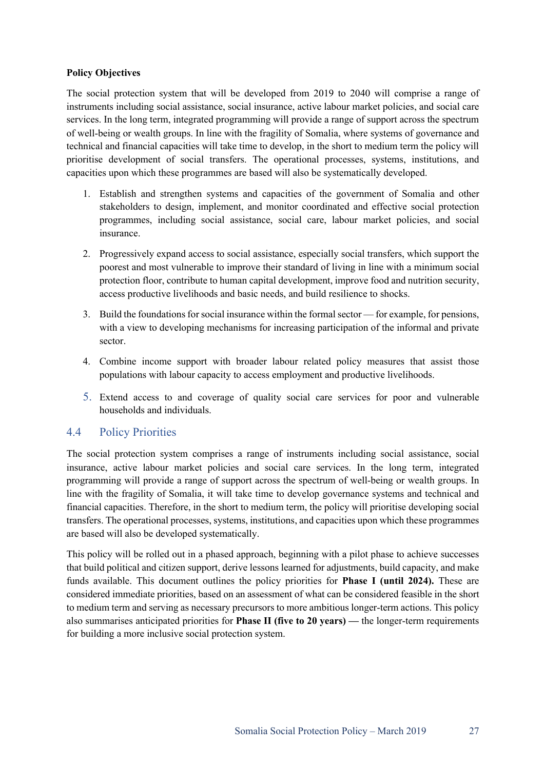#### **Policy Objectives**

The social protection system that will be developed from 2019 to 2040 will comprise a range of instruments including social assistance, social insurance, active labour market policies, and social care services. In the long term, integrated programming will provide a range of support across the spectrum of well-being or wealth groups. In line with the fragility of Somalia, where systems of governance and technical and financial capacities will take time to develop, in the short to medium term the policy will prioritise development of social transfers. The operational processes, systems, institutions, and capacities upon which these programmes are based will also be systematically developed.

- 1. Establish and strengthen systems and capacities of the government of Somalia and other stakeholders to design, implement, and monitor coordinated and effective social protection programmes, including social assistance, social care, labour market policies, and social insurance.
- 2. Progressively expand access to social assistance, especially social transfers, which support the poorest and most vulnerable to improve their standard of living in line with a minimum social protection floor, contribute to human capital development, improve food and nutrition security, access productive livelihoods and basic needs, and build resilience to shocks.
- 3. Build the foundations for social insurance within the formal sector for example, for pensions, with a view to developing mechanisms for increasing participation of the informal and private sector.
- 4. Combine income support with broader labour related policy measures that assist those populations with labour capacity to access employment and productive livelihoods.
- 5. Extend access to and coverage of quality social care services for poor and vulnerable households and individuals.

#### 4.4 Policy Priorities

The social protection system comprises a range of instruments including social assistance, social insurance, active labour market policies and social care services. In the long term, integrated programming will provide a range of support across the spectrum of well-being or wealth groups. In line with the fragility of Somalia, it will take time to develop governance systems and technical and financial capacities. Therefore, in the short to medium term, the policy will prioritise developing social transfers. The operational processes, systems, institutions, and capacities upon which these programmes are based will also be developed systematically.

This policy will be rolled out in a phased approach, beginning with a pilot phase to achieve successes that build political and citizen support, derive lessons learned for adjustments, build capacity, and make funds available. This document outlines the policy priorities for **Phase I (until 2024).** These are considered immediate priorities, based on an assessment of what can be considered feasible in the short to medium term and serving as necessary precursors to more ambitious longer-term actions. This policy also summarises anticipated priorities for **Phase II (five to 20 years) —** the longer-term requirements for building a more inclusive social protection system.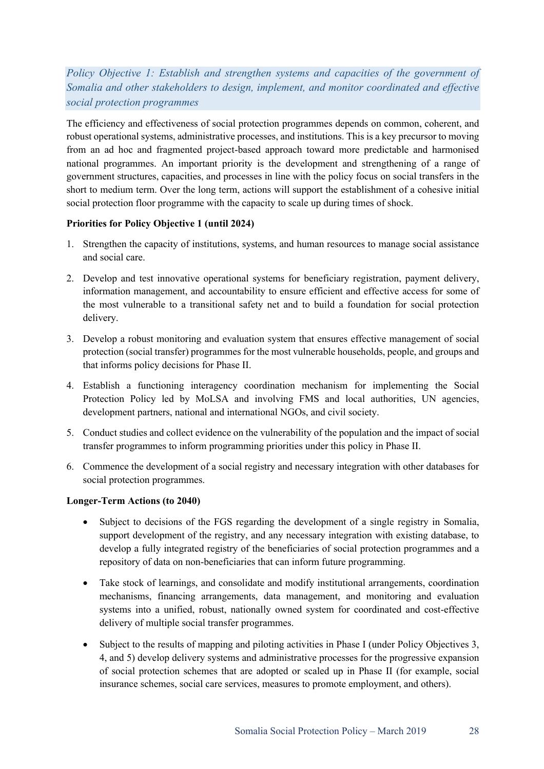# *Policy Objective 1: Establish and strengthen systems and capacities of the government of Somalia and other stakeholders to design, implement, and monitor coordinated and effective social protection programmes*

The efficiency and effectiveness of social protection programmes depends on common, coherent, and robust operational systems, administrative processes, and institutions. This is a key precursor to moving from an ad hoc and fragmented project-based approach toward more predictable and harmonised national programmes. An important priority is the development and strengthening of a range of government structures, capacities, and processes in line with the policy focus on social transfers in the short to medium term. Over the long term, actions will support the establishment of a cohesive initial social protection floor programme with the capacity to scale up during times of shock.

#### **Priorities for Policy Objective 1 (until 2024)**

- 1. Strengthen the capacity of institutions, systems, and human resources to manage social assistance and social care.
- 2. Develop and test innovative operational systems for beneficiary registration, payment delivery, information management, and accountability to ensure efficient and effective access for some of the most vulnerable to a transitional safety net and to build a foundation for social protection delivery.
- 3. Develop a robust monitoring and evaluation system that ensures effective management of social protection (social transfer) programmes for the most vulnerable households, people, and groups and that informs policy decisions for Phase II.
- 4. Establish a functioning interagency coordination mechanism for implementing the Social Protection Policy led by MoLSA and involving FMS and local authorities, UN agencies, development partners, national and international NGOs, and civil society.
- 5. Conduct studies and collect evidence on the vulnerability of the population and the impact of social transfer programmes to inform programming priorities under this policy in Phase II.
- 6. Commence the development of a social registry and necessary integration with other databases for social protection programmes.

#### **Longer-Term Actions (to 2040)**

- Subject to decisions of the FGS regarding the development of a single registry in Somalia, support development of the registry, and any necessary integration with existing database, to develop a fully integrated registry of the beneficiaries of social protection programmes and a repository of data on non-beneficiaries that can inform future programming.
- Take stock of learnings, and consolidate and modify institutional arrangements, coordination mechanisms, financing arrangements, data management, and monitoring and evaluation systems into a unified, robust, nationally owned system for coordinated and cost-effective delivery of multiple social transfer programmes.
- Subject to the results of mapping and piloting activities in Phase I (under Policy Objectives 3, 4, and 5) develop delivery systems and administrative processes for the progressive expansion of social protection schemes that are adopted or scaled up in Phase II (for example, social insurance schemes, social care services, measures to promote employment, and others).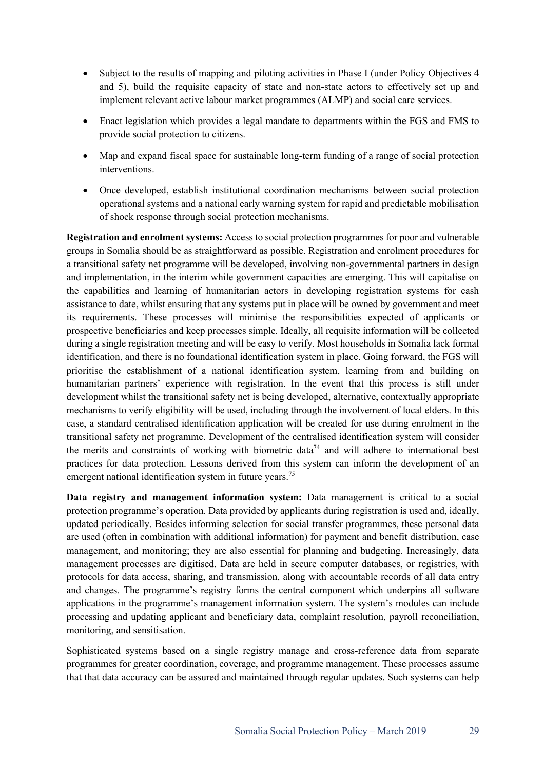- Subject to the results of mapping and piloting activities in Phase I (under Policy Objectives 4 and 5), build the requisite capacity of state and non-state actors to effectively set up and implement relevant active labour market programmes (ALMP) and social care services.
- Enact legislation which provides a legal mandate to departments within the FGS and FMS to provide social protection to citizens.
- Map and expand fiscal space for sustainable long-term funding of a range of social protection interventions.
- Once developed, establish institutional coordination mechanisms between social protection operational systems and a national early warning system for rapid and predictable mobilisation of shock response through social protection mechanisms.

**Registration and enrolment systems:** Access to social protection programmes for poor and vulnerable groups in Somalia should be as straightforward as possible. Registration and enrolment procedures for a transitional safety net programme will be developed, involving non-governmental partners in design and implementation, in the interim while government capacities are emerging. This will capitalise on the capabilities and learning of humanitarian actors in developing registration systems for cash assistance to date, whilst ensuring that any systems put in place will be owned by government and meet its requirements. These processes will minimise the responsibilities expected of applicants or prospective beneficiaries and keep processes simple. Ideally, all requisite information will be collected during a single registration meeting and will be easy to verify. Most households in Somalia lack formal identification, and there is no foundational identification system in place. Going forward, the FGS will prioritise the establishment of a national identification system, learning from and building on humanitarian partners' experience with registration. In the event that this process is still under development whilst the transitional safety net is being developed, alternative, contextually appropriate mechanisms to verify eligibility will be used, including through the involvement of local elders. In this case, a standard centralised identification application will be created for use during enrolment in the transitional safety net programme. Development of the centralised identification system will consider the merits and constraints of working with biometric data<sup>74</sup> and will adhere to international best practices for data protection. Lessons derived from this system can inform the development of an emergent national identification system in future years.<sup>75</sup>

**Data registry and management information system:** Data management is critical to a social protection programme's operation. Data provided by applicants during registration is used and, ideally, updated periodically. Besides informing selection for social transfer programmes, these personal data are used (often in combination with additional information) for payment and benefit distribution, case management, and monitoring; they are also essential for planning and budgeting. Increasingly, data management processes are digitised. Data are held in secure computer databases, or registries, with protocols for data access, sharing, and transmission, along with accountable records of all data entry and changes. The programme's registry forms the central component which underpins all software applications in the programme's management information system. The system's modules can include processing and updating applicant and beneficiary data, complaint resolution, payroll reconciliation, monitoring, and sensitisation.

Sophisticated systems based on a single registry manage and cross-reference data from separate programmes for greater coordination, coverage, and programme management. These processes assume that that data accuracy can be assured and maintained through regular updates. Such systems can help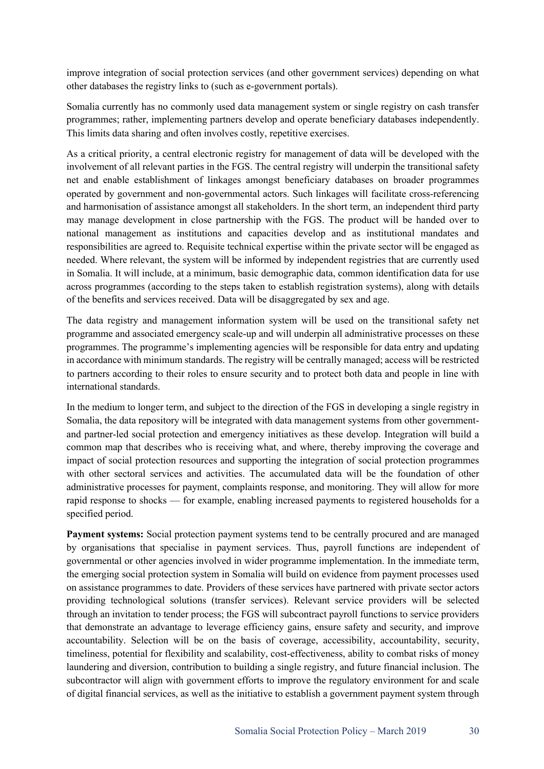improve integration of social protection services (and other government services) depending on what other databases the registry links to (such as e-government portals).

Somalia currently has no commonly used data management system or single registry on cash transfer programmes; rather, implementing partners develop and operate beneficiary databases independently. This limits data sharing and often involves costly, repetitive exercises.

As a critical priority, a central electronic registry for management of data will be developed with the involvement of all relevant parties in the FGS. The central registry will underpin the transitional safety net and enable establishment of linkages amongst beneficiary databases on broader programmes operated by government and non-governmental actors. Such linkages will facilitate cross-referencing and harmonisation of assistance amongst all stakeholders. In the short term, an independent third party may manage development in close partnership with the FGS. The product will be handed over to national management as institutions and capacities develop and as institutional mandates and responsibilities are agreed to. Requisite technical expertise within the private sector will be engaged as needed. Where relevant, the system will be informed by independent registries that are currently used in Somalia. It will include, at a minimum, basic demographic data, common identification data for use across programmes (according to the steps taken to establish registration systems), along with details of the benefits and services received. Data will be disaggregated by sex and age.

The data registry and management information system will be used on the transitional safety net programme and associated emergency scale-up and will underpin all administrative processes on these programmes. The programme's implementing agencies will be responsible for data entry and updating in accordance with minimum standards. The registry will be centrally managed; access will be restricted to partners according to their roles to ensure security and to protect both data and people in line with international standards.

In the medium to longer term, and subject to the direction of the FGS in developing a single registry in Somalia, the data repository will be integrated with data management systems from other governmentand partner-led social protection and emergency initiatives as these develop. Integration will build a common map that describes who is receiving what, and where, thereby improving the coverage and impact of social protection resources and supporting the integration of social protection programmes with other sectoral services and activities. The accumulated data will be the foundation of other administrative processes for payment, complaints response, and monitoring. They will allow for more rapid response to shocks — for example, enabling increased payments to registered households for a specified period.

**Payment systems:** Social protection payment systems tend to be centrally procured and are managed by organisations that specialise in payment services. Thus, payroll functions are independent of governmental or other agencies involved in wider programme implementation. In the immediate term, the emerging social protection system in Somalia will build on evidence from payment processes used on assistance programmes to date. Providers of these services have partnered with private sector actors providing technological solutions (transfer services). Relevant service providers will be selected through an invitation to tender process; the FGS will subcontract payroll functions to service providers that demonstrate an advantage to leverage efficiency gains, ensure safety and security, and improve accountability. Selection will be on the basis of coverage, accessibility, accountability, security, timeliness, potential for flexibility and scalability, cost-effectiveness, ability to combat risks of money laundering and diversion, contribution to building a single registry, and future financial inclusion. The subcontractor will align with government efforts to improve the regulatory environment for and scale of digital financial services, as well as the initiative to establish a government payment system through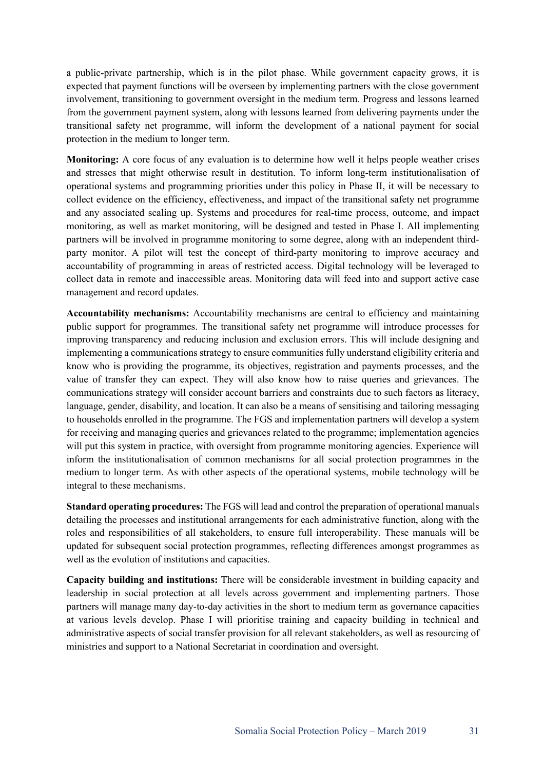a public-private partnership, which is in the pilot phase. While government capacity grows, it is expected that payment functions will be overseen by implementing partners with the close government involvement, transitioning to government oversight in the medium term. Progress and lessons learned from the government payment system, along with lessons learned from delivering payments under the transitional safety net programme, will inform the development of a national payment for social protection in the medium to longer term.

**Monitoring:** A core focus of any evaluation is to determine how well it helps people weather crises and stresses that might otherwise result in destitution. To inform long-term institutionalisation of operational systems and programming priorities under this policy in Phase II, it will be necessary to collect evidence on the efficiency, effectiveness, and impact of the transitional safety net programme and any associated scaling up. Systems and procedures for real-time process, outcome, and impact monitoring, as well as market monitoring, will be designed and tested in Phase I. All implementing partners will be involved in programme monitoring to some degree, along with an independent thirdparty monitor. A pilot will test the concept of third-party monitoring to improve accuracy and accountability of programming in areas of restricted access. Digital technology will be leveraged to collect data in remote and inaccessible areas. Monitoring data will feed into and support active case management and record updates.

**Accountability mechanisms:** Accountability mechanisms are central to efficiency and maintaining public support for programmes. The transitional safety net programme will introduce processes for improving transparency and reducing inclusion and exclusion errors. This will include designing and implementing a communications strategy to ensure communities fully understand eligibility criteria and know who is providing the programme, its objectives, registration and payments processes, and the value of transfer they can expect. They will also know how to raise queries and grievances. The communications strategy will consider account barriers and constraints due to such factors as literacy, language, gender, disability, and location. It can also be a means of sensitising and tailoring messaging to households enrolled in the programme. The FGS and implementation partners will develop a system for receiving and managing queries and grievances related to the programme; implementation agencies will put this system in practice, with oversight from programme monitoring agencies. Experience will inform the institutionalisation of common mechanisms for all social protection programmes in the medium to longer term. As with other aspects of the operational systems, mobile technology will be integral to these mechanisms.

**Standard operating procedures:** The FGS will lead and control the preparation of operational manuals detailing the processes and institutional arrangements for each administrative function, along with the roles and responsibilities of all stakeholders, to ensure full interoperability. These manuals will be updated for subsequent social protection programmes, reflecting differences amongst programmes as well as the evolution of institutions and capacities.

**Capacity building and institutions:** There will be considerable investment in building capacity and leadership in social protection at all levels across government and implementing partners. Those partners will manage many day-to-day activities in the short to medium term as governance capacities at various levels develop. Phase I will prioritise training and capacity building in technical and administrative aspects of social transfer provision for all relevant stakeholders, as well as resourcing of ministries and support to a National Secretariat in coordination and oversight.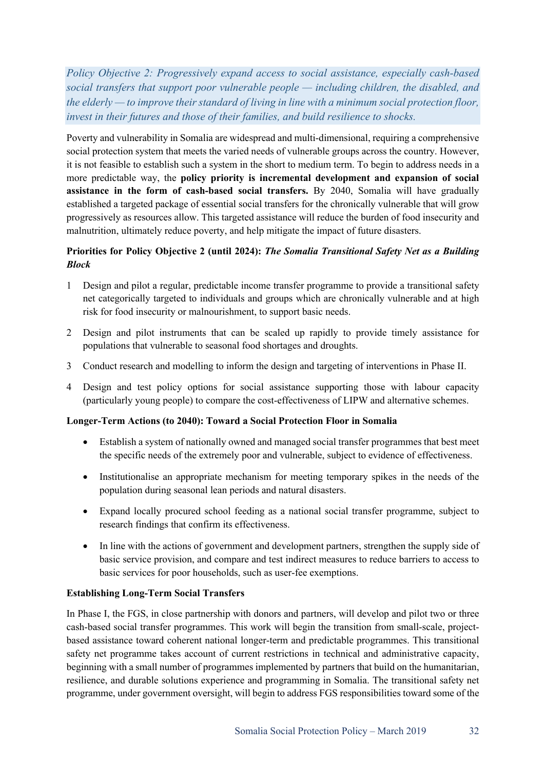*Policy Objective 2: Progressively expand access to social assistance, especially cash-based social transfers that support poor vulnerable people — including children, the disabled, and the elderly — to improve their standard of living in line with a minimum social protection floor, invest in their futures and those of their families, and build resilience to shocks.* 

Poverty and vulnerability in Somalia are widespread and multi-dimensional, requiring a comprehensive social protection system that meets the varied needs of vulnerable groups across the country. However, it is not feasible to establish such a system in the short to medium term. To begin to address needs in a more predictable way, the **policy priority is incremental development and expansion of social assistance in the form of cash-based social transfers.** By 2040, Somalia will have gradually established a targeted package of essential social transfers for the chronically vulnerable that will grow progressively as resources allow. This targeted assistance will reduce the burden of food insecurity and malnutrition, ultimately reduce poverty, and help mitigate the impact of future disasters.

### **Priorities for Policy Objective 2 (until 2024):** *The Somalia Transitional Safety Net as a Building Block*

- 1 Design and pilot a regular, predictable income transfer programme to provide a transitional safety net categorically targeted to individuals and groups which are chronically vulnerable and at high risk for food insecurity or malnourishment, to support basic needs.
- 2 Design and pilot instruments that can be scaled up rapidly to provide timely assistance for populations that vulnerable to seasonal food shortages and droughts.
- 3 Conduct research and modelling to inform the design and targeting of interventions in Phase II.
- 4 Design and test policy options for social assistance supporting those with labour capacity (particularly young people) to compare the cost-effectiveness of LIPW and alternative schemes.

#### **Longer-Term Actions (to 2040): Toward a Social Protection Floor in Somalia**

- Establish a system of nationally owned and managed social transfer programmes that best meet the specific needs of the extremely poor and vulnerable, subject to evidence of effectiveness.
- Institutionalise an appropriate mechanism for meeting temporary spikes in the needs of the population during seasonal lean periods and natural disasters.
- Expand locally procured school feeding as a national social transfer programme, subject to research findings that confirm its effectiveness.
- In line with the actions of government and development partners, strengthen the supply side of basic service provision, and compare and test indirect measures to reduce barriers to access to basic services for poor households, such as user-fee exemptions.

#### **Establishing Long-Term Social Transfers**

In Phase I, the FGS, in close partnership with donors and partners, will develop and pilot two or three cash-based social transfer programmes. This work will begin the transition from small-scale, projectbased assistance toward coherent national longer-term and predictable programmes. This transitional safety net programme takes account of current restrictions in technical and administrative capacity, beginning with a small number of programmes implemented by partners that build on the humanitarian, resilience, and durable solutions experience and programming in Somalia. The transitional safety net programme, under government oversight, will begin to address FGS responsibilities toward some of the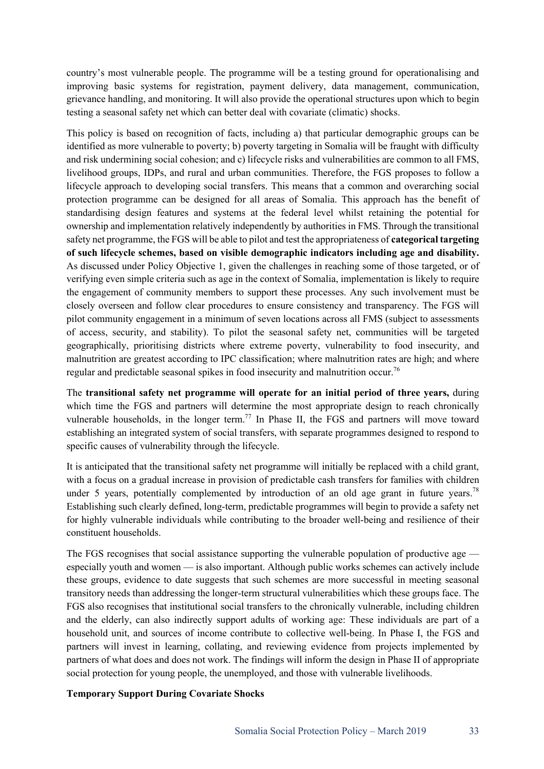country's most vulnerable people. The programme will be a testing ground for operationalising and improving basic systems for registration, payment delivery, data management, communication, grievance handling, and monitoring. It will also provide the operational structures upon which to begin testing a seasonal safety net which can better deal with covariate (climatic) shocks.

This policy is based on recognition of facts, including a) that particular demographic groups can be identified as more vulnerable to poverty; b) poverty targeting in Somalia will be fraught with difficulty and risk undermining social cohesion; and c) lifecycle risks and vulnerabilities are common to all FMS, livelihood groups, IDPs, and rural and urban communities. Therefore, the FGS proposes to follow a lifecycle approach to developing social transfers. This means that a common and overarching social protection programme can be designed for all areas of Somalia. This approach has the benefit of standardising design features and systems at the federal level whilst retaining the potential for ownership and implementation relatively independently by authorities in FMS. Through the transitional safety net programme, the FGS will be able to pilot and test the appropriateness of **categorical targeting of such lifecycle schemes, based on visible demographic indicators including age and disability.** As discussed under Policy Objective 1, given the challenges in reaching some of those targeted, or of verifying even simple criteria such as age in the context of Somalia, implementation is likely to require the engagement of community members to support these processes. Any such involvement must be closely overseen and follow clear procedures to ensure consistency and transparency. The FGS will pilot community engagement in a minimum of seven locations across all FMS (subject to assessments of access, security, and stability). To pilot the seasonal safety net, communities will be targeted geographically, prioritising districts where extreme poverty, vulnerability to food insecurity, and malnutrition are greatest according to IPC classification; where malnutrition rates are high; and where regular and predictable seasonal spikes in food insecurity and malnutrition occur.<sup>76</sup>

The **transitional safety net programme will operate for an initial period of three years,** during which time the FGS and partners will determine the most appropriate design to reach chronically vulnerable households, in the longer term.<sup>77</sup> In Phase II, the FGS and partners will move toward establishing an integrated system of social transfers, with separate programmes designed to respond to specific causes of vulnerability through the lifecycle.

It is anticipated that the transitional safety net programme will initially be replaced with a child grant, with a focus on a gradual increase in provision of predictable cash transfers for families with children under 5 years, potentially complemented by introduction of an old age grant in future years.<sup>78</sup> Establishing such clearly defined, long-term, predictable programmes will begin to provide a safety net for highly vulnerable individuals while contributing to the broader well-being and resilience of their constituent households.

The FGS recognises that social assistance supporting the vulnerable population of productive age especially youth and women — is also important. Although public works schemes can actively include these groups, evidence to date suggests that such schemes are more successful in meeting seasonal transitory needs than addressing the longer-term structural vulnerabilities which these groups face. The FGS also recognises that institutional social transfers to the chronically vulnerable, including children and the elderly, can also indirectly support adults of working age: These individuals are part of a household unit, and sources of income contribute to collective well-being. In Phase I, the FGS and partners will invest in learning, collating, and reviewing evidence from projects implemented by partners of what does and does not work. The findings will inform the design in Phase II of appropriate social protection for young people, the unemployed, and those with vulnerable livelihoods.

#### **Temporary Support During Covariate Shocks**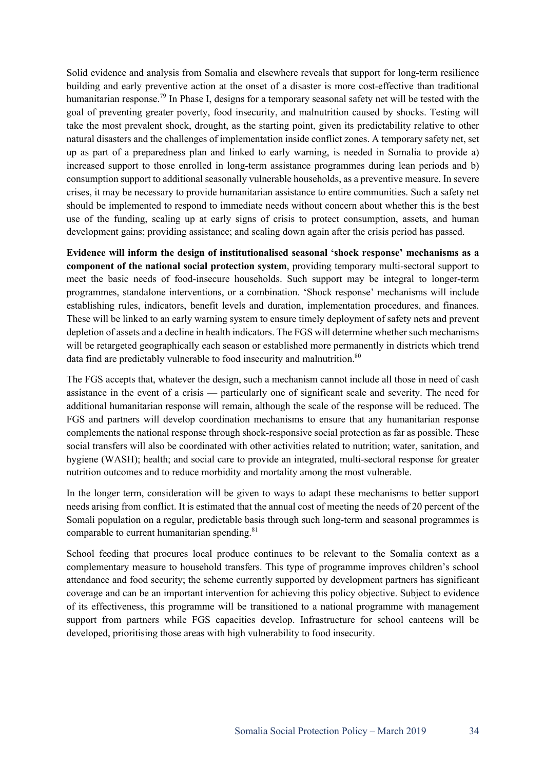Solid evidence and analysis from Somalia and elsewhere reveals that support for long-term resilience building and early preventive action at the onset of a disaster is more cost-effective than traditional humanitarian response.<sup>79</sup> In Phase I, designs for a temporary seasonal safety net will be tested with the goal of preventing greater poverty, food insecurity, and malnutrition caused by shocks. Testing will take the most prevalent shock, drought, as the starting point, given its predictability relative to other natural disasters and the challenges of implementation inside conflict zones. A temporary safety net, set up as part of a preparedness plan and linked to early warning, is needed in Somalia to provide a) increased support to those enrolled in long-term assistance programmes during lean periods and b) consumption support to additional seasonally vulnerable households, as a preventive measure. In severe crises, it may be necessary to provide humanitarian assistance to entire communities. Such a safety net should be implemented to respond to immediate needs without concern about whether this is the best use of the funding, scaling up at early signs of crisis to protect consumption, assets, and human development gains; providing assistance; and scaling down again after the crisis period has passed.

**Evidence will inform the design of institutionalised seasonal 'shock response' mechanisms as a component of the national social protection system**, providing temporary multi-sectoral support to meet the basic needs of food-insecure households. Such support may be integral to longer-term programmes, standalone interventions, or a combination. 'Shock response' mechanisms will include establishing rules, indicators, benefit levels and duration, implementation procedures, and finances. These will be linked to an early warning system to ensure timely deployment of safety nets and prevent depletion of assets and a decline in health indicators. The FGS will determine whether such mechanisms will be retargeted geographically each season or established more permanently in districts which trend data find are predictably vulnerable to food insecurity and malnutrition.<sup>80</sup>

The FGS accepts that, whatever the design, such a mechanism cannot include all those in need of cash assistance in the event of a crisis — particularly one of significant scale and severity. The need for additional humanitarian response will remain, although the scale of the response will be reduced. The FGS and partners will develop coordination mechanisms to ensure that any humanitarian response complements the national response through shock-responsive social protection as far as possible. These social transfers will also be coordinated with other activities related to nutrition; water, sanitation, and hygiene (WASH); health; and social care to provide an integrated, multi-sectoral response for greater nutrition outcomes and to reduce morbidity and mortality among the most vulnerable.

In the longer term, consideration will be given to ways to adapt these mechanisms to better support needs arising from conflict. It is estimated that the annual cost of meeting the needs of 20 percent of the Somali population on a regular, predictable basis through such long-term and seasonal programmes is comparable to current humanitarian spending.<sup>81</sup>

School feeding that procures local produce continues to be relevant to the Somalia context as a complementary measure to household transfers. This type of programme improves children's school attendance and food security; the scheme currently supported by development partners has significant coverage and can be an important intervention for achieving this policy objective. Subject to evidence of its effectiveness, this programme will be transitioned to a national programme with management support from partners while FGS capacities develop. Infrastructure for school canteens will be developed, prioritising those areas with high vulnerability to food insecurity.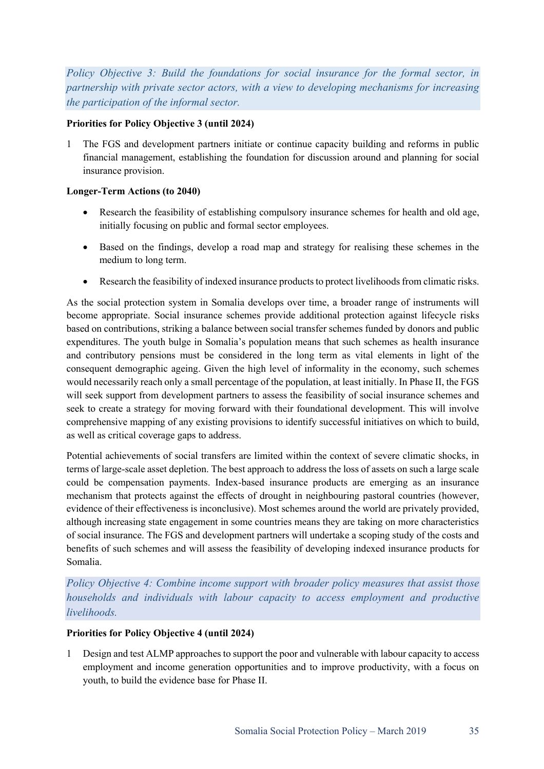*Policy Objective 3: Build the foundations for social insurance for the formal sector, in partnership with private sector actors, with a view to developing mechanisms for increasing the participation of the informal sector.*

#### **Priorities for Policy Objective 3 (until 2024)**

1 The FGS and development partners initiate or continue capacity building and reforms in public financial management, establishing the foundation for discussion around and planning for social insurance provision.

#### **Longer-Term Actions (to 2040)**

- Research the feasibility of establishing compulsory insurance schemes for health and old age, initially focusing on public and formal sector employees.
- Based on the findings, develop a road map and strategy for realising these schemes in the medium to long term.
- Research the feasibility of indexed insurance products to protect livelihoods from climatic risks.

As the social protection system in Somalia develops over time, a broader range of instruments will become appropriate. Social insurance schemes provide additional protection against lifecycle risks based on contributions, striking a balance between social transfer schemes funded by donors and public expenditures. The youth bulge in Somalia's population means that such schemes as health insurance and contributory pensions must be considered in the long term as vital elements in light of the consequent demographic ageing. Given the high level of informality in the economy, such schemes would necessarily reach only a small percentage of the population, at least initially. In Phase II, the FGS will seek support from development partners to assess the feasibility of social insurance schemes and seek to create a strategy for moving forward with their foundational development. This will involve comprehensive mapping of any existing provisions to identify successful initiatives on which to build, as well as critical coverage gaps to address.

Potential achievements of social transfers are limited within the context of severe climatic shocks, in terms of large-scale asset depletion. The best approach to address the loss of assets on such a large scale could be compensation payments. Index-based insurance products are emerging as an insurance mechanism that protects against the effects of drought in neighbouring pastoral countries (however, evidence of their effectiveness is inconclusive). Most schemes around the world are privately provided, although increasing state engagement in some countries means they are taking on more characteristics of social insurance. The FGS and development partners will undertake a scoping study of the costs and benefits of such schemes and will assess the feasibility of developing indexed insurance products for Somalia.

*Policy Objective 4: Combine income support with broader policy measures that assist those households and individuals with labour capacity to access employment and productive livelihoods.* 

#### **Priorities for Policy Objective 4 (until 2024)**

1 Design and test ALMP approaches to support the poor and vulnerable with labour capacity to access employment and income generation opportunities and to improve productivity, with a focus on youth, to build the evidence base for Phase II.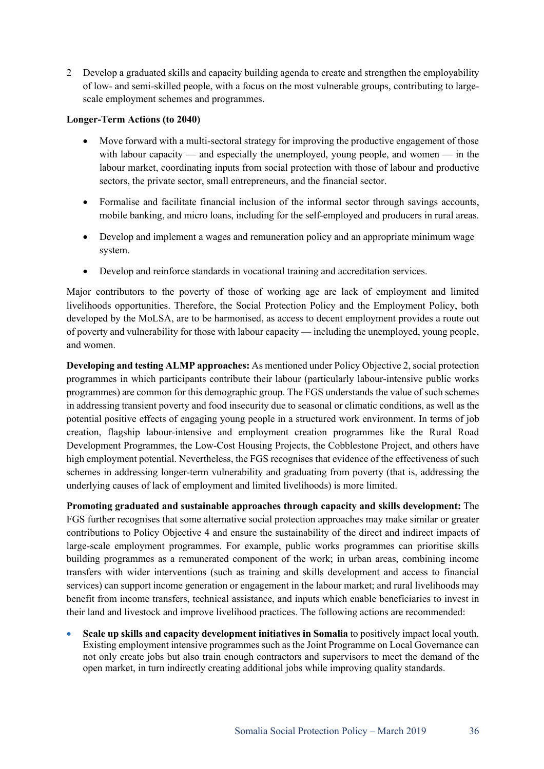2 Develop a graduated skills and capacity building agenda to create and strengthen the employability of low- and semi-skilled people, with a focus on the most vulnerable groups, contributing to largescale employment schemes and programmes.

#### **Longer-Term Actions (to 2040)**

- Move forward with a multi-sectoral strategy for improving the productive engagement of those with labour capacity — and especially the unemployed, young people, and women — in the labour market, coordinating inputs from social protection with those of labour and productive sectors, the private sector, small entrepreneurs, and the financial sector.
- Formalise and facilitate financial inclusion of the informal sector through savings accounts, mobile banking, and micro loans, including for the self-employed and producers in rural areas.
- Develop and implement a wages and remuneration policy and an appropriate minimum wage system.
- Develop and reinforce standards in vocational training and accreditation services.

Major contributors to the poverty of those of working age are lack of employment and limited livelihoods opportunities. Therefore, the Social Protection Policy and the Employment Policy, both developed by the MoLSA, are to be harmonised, as access to decent employment provides a route out of poverty and vulnerability for those with labour capacity — including the unemployed, young people, and women.

**Developing and testing ALMP approaches:** As mentioned under Policy Objective 2, social protection programmes in which participants contribute their labour (particularly labour-intensive public works programmes) are common for this demographic group. The FGS understands the value of such schemes in addressing transient poverty and food insecurity due to seasonal or climatic conditions, as well as the potential positive effects of engaging young people in a structured work environment. In terms of job creation, flagship labour-intensive and employment creation programmes like the Rural Road Development Programmes, the Low-Cost Housing Projects, the Cobblestone Project, and others have high employment potential. Nevertheless, the FGS recognises that evidence of the effectiveness of such schemes in addressing longer-term vulnerability and graduating from poverty (that is, addressing the underlying causes of lack of employment and limited livelihoods) is more limited.

**Promoting graduated and sustainable approaches through capacity and skills development:** The FGS further recognises that some alternative social protection approaches may make similar or greater contributions to Policy Objective 4 and ensure the sustainability of the direct and indirect impacts of large-scale employment programmes. For example, public works programmes can prioritise skills building programmes as a remunerated component of the work; in urban areas, combining income transfers with wider interventions (such as training and skills development and access to financial services) can support income generation or engagement in the labour market; and rural livelihoods may benefit from income transfers, technical assistance, and inputs which enable beneficiaries to invest in their land and livestock and improve livelihood practices. The following actions are recommended:

• **Scale up skills and capacity development initiatives in Somalia** to positively impact local youth. Existing employment intensive programmes such as the Joint Programme on Local Governance can not only create jobs but also train enough contractors and supervisors to meet the demand of the open market, in turn indirectly creating additional jobs while improving quality standards.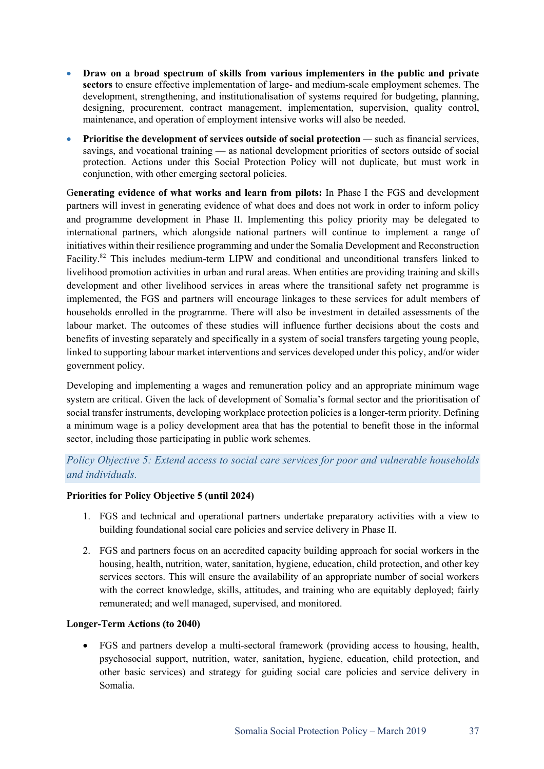- **Draw on a broad spectrum of skills from various implementers in the public and private sectors** to ensure effective implementation of large- and medium-scale employment schemes. The development, strengthening, and institutionalisation of systems required for budgeting, planning, designing, procurement, contract management, implementation, supervision, quality control, maintenance, and operation of employment intensive works will also be needed.
- **Prioritise the development of services outside of social protection** *—* such as financial services, savings, and vocational training — as national development priorities of sectors outside of social protection. Actions under this Social Protection Policy will not duplicate, but must work in conjunction, with other emerging sectoral policies.

G**enerating evidence of what works and learn from pilots:** In Phase I the FGS and development partners will invest in generating evidence of what does and does not work in order to inform policy and programme development in Phase II. Implementing this policy priority may be delegated to international partners, which alongside national partners will continue to implement a range of initiatives within their resilience programming and under the Somalia Development and Reconstruction Facility.<sup>82</sup> This includes medium-term LIPW and conditional and unconditional transfers linked to livelihood promotion activities in urban and rural areas. When entities are providing training and skills development and other livelihood services in areas where the transitional safety net programme is implemented, the FGS and partners will encourage linkages to these services for adult members of households enrolled in the programme. There will also be investment in detailed assessments of the labour market. The outcomes of these studies will influence further decisions about the costs and benefits of investing separately and specifically in a system of social transfers targeting young people, linked to supporting labour market interventions and services developed under this policy, and/or wider government policy.

Developing and implementing a wages and remuneration policy and an appropriate minimum wage system are critical. Given the lack of development of Somalia's formal sector and the prioritisation of social transfer instruments, developing workplace protection policies is a longer-term priority. Defining a minimum wage is a policy development area that has the potential to benefit those in the informal sector, including those participating in public work schemes.

# *Policy Objective 5: Extend access to social care services for poor and vulnerable households and individuals.*

#### **Priorities for Policy Objective 5 (until 2024)**

- 1. FGS and technical and operational partners undertake preparatory activities with a view to building foundational social care policies and service delivery in Phase II.
- 2. FGS and partners focus on an accredited capacity building approach for social workers in the housing, health, nutrition, water, sanitation, hygiene, education, child protection, and other key services sectors. This will ensure the availability of an appropriate number of social workers with the correct knowledge, skills, attitudes, and training who are equitably deployed; fairly remunerated; and well managed, supervised, and monitored.

#### **Longer-Term Actions (to 2040)**

• FGS and partners develop a multi-sectoral framework (providing access to housing, health, psychosocial support, nutrition, water, sanitation, hygiene, education, child protection, and other basic services) and strategy for guiding social care policies and service delivery in Somalia.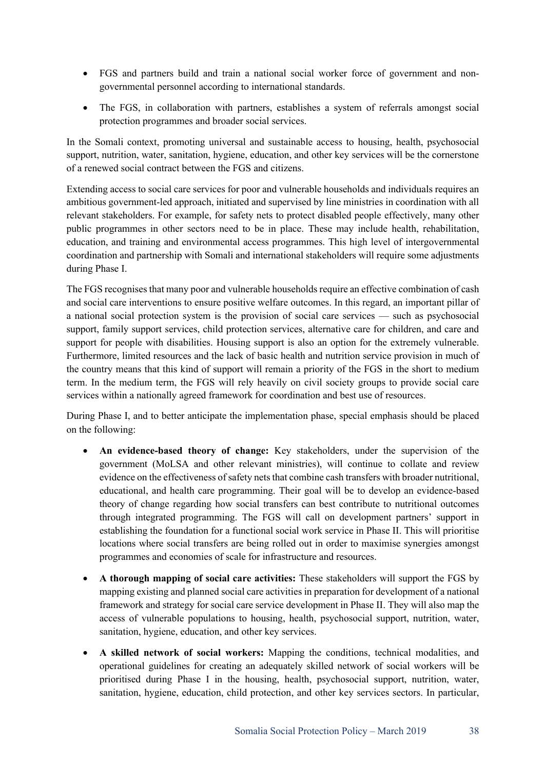- FGS and partners build and train a national social worker force of government and nongovernmental personnel according to international standards.
- The FGS, in collaboration with partners, establishes a system of referrals amongst social protection programmes and broader social services.

In the Somali context, promoting universal and sustainable access to housing, health, psychosocial support, nutrition, water, sanitation, hygiene, education, and other key services will be the cornerstone of a renewed social contract between the FGS and citizens.

Extending access to social care services for poor and vulnerable households and individuals requires an ambitious government-led approach, initiated and supervised by line ministries in coordination with all relevant stakeholders. For example, for safety nets to protect disabled people effectively, many other public programmes in other sectors need to be in place. These may include health, rehabilitation, education, and training and environmental access programmes. This high level of intergovernmental coordination and partnership with Somali and international stakeholders will require some adjustments during Phase I.

The FGS recognises that many poor and vulnerable households require an effective combination of cash and social care interventions to ensure positive welfare outcomes. In this regard, an important pillar of a national social protection system is the provision of social care services — such as psychosocial support, family support services, child protection services, alternative care for children, and care and support for people with disabilities. Housing support is also an option for the extremely vulnerable. Furthermore, limited resources and the lack of basic health and nutrition service provision in much of the country means that this kind of support will remain a priority of the FGS in the short to medium term. In the medium term, the FGS will rely heavily on civil society groups to provide social care services within a nationally agreed framework for coordination and best use of resources.

During Phase I, and to better anticipate the implementation phase, special emphasis should be placed on the following:

- **An evidence-based theory of change:** Key stakeholders, under the supervision of the government (MoLSA and other relevant ministries), will continue to collate and review evidence on the effectiveness of safety nets that combine cash transfers with broader nutritional, educational, and health care programming. Their goal will be to develop an evidence-based theory of change regarding how social transfers can best contribute to nutritional outcomes through integrated programming. The FGS will call on development partners' support in establishing the foundation for a functional social work service in Phase II. This will prioritise locations where social transfers are being rolled out in order to maximise synergies amongst programmes and economies of scale for infrastructure and resources.
- **A thorough mapping of social care activities:** These stakeholders will support the FGS by mapping existing and planned social care activities in preparation for development of a national framework and strategy for social care service development in Phase II. They will also map the access of vulnerable populations to housing, health, psychosocial support, nutrition, water, sanitation, hygiene, education, and other key services.
- **A skilled network of social workers:** Mapping the conditions, technical modalities, and operational guidelines for creating an adequately skilled network of social workers will be prioritised during Phase I in the housing, health, psychosocial support, nutrition, water, sanitation, hygiene, education, child protection, and other key services sectors. In particular,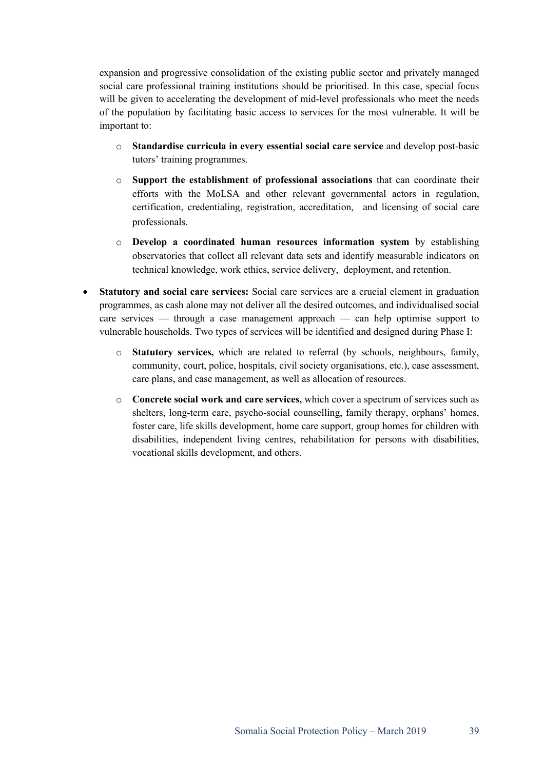expansion and progressive consolidation of the existing public sector and privately managed social care professional training institutions should be prioritised. In this case, special focus will be given to accelerating the development of mid-level professionals who meet the needs of the population by facilitating basic access to services for the most vulnerable. It will be important to:

- o **Standardise curricula in every essential social care service** and develop post-basic tutors' training programmes.
- o **Support the establishment of professional associations** that can coordinate their efforts with the MoLSA and other relevant governmental actors in regulation, certification, credentialing, registration, accreditation, and licensing of social care professionals.
- o **Develop a coordinated human resources information system** by establishing observatories that collect all relevant data sets and identify measurable indicators on technical knowledge, work ethics, service delivery, deployment, and retention.
- **Statutory and social care services:** Social care services are a crucial element in graduation programmes, as cash alone may not deliver all the desired outcomes, and individualised social care services — through a case management approach — can help optimise support to vulnerable households. Two types of services will be identified and designed during Phase I:
	- o **Statutory services,** which are related to referral (by schools, neighbours, family, community, court, police, hospitals, civil society organisations, etc.), case assessment, care plans, and case management, as well as allocation of resources.
	- o **Concrete social work and care services,** which cover a spectrum of services such as shelters, long-term care, psycho-social counselling, family therapy, orphans' homes, foster care, life skills development, home care support, group homes for children with disabilities, independent living centres, rehabilitation for persons with disabilities, vocational skills development, and others.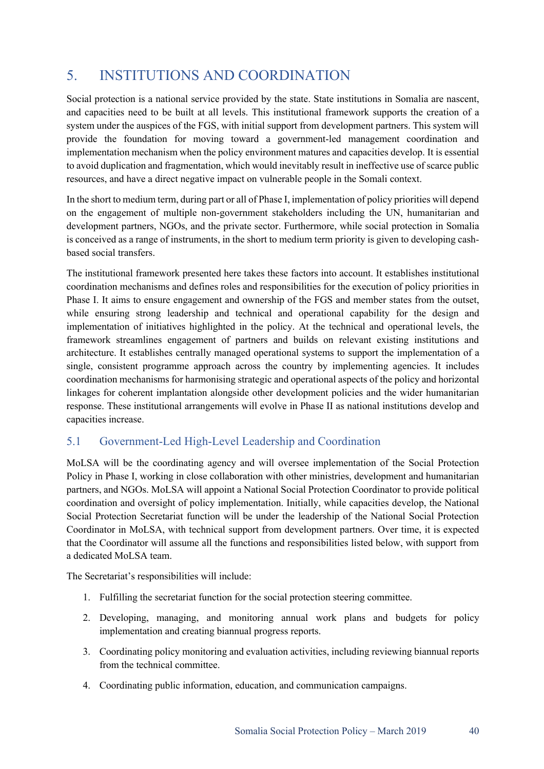# 5. INSTITUTIONS AND COORDINATION

Social protection is a national service provided by the state. State institutions in Somalia are nascent, and capacities need to be built at all levels. This institutional framework supports the creation of a system under the auspices of the FGS, with initial support from development partners. This system will provide the foundation for moving toward a government-led management coordination and implementation mechanism when the policy environment matures and capacities develop. It is essential to avoid duplication and fragmentation, which would inevitably result in ineffective use of scarce public resources, and have a direct negative impact on vulnerable people in the Somali context.

In the short to medium term, during part or all of Phase I, implementation of policy priorities will depend on the engagement of multiple non-government stakeholders including the UN, humanitarian and development partners, NGOs, and the private sector. Furthermore, while social protection in Somalia is conceived as a range of instruments, in the short to medium term priority is given to developing cashbased social transfers.

The institutional framework presented here takes these factors into account. It establishes institutional coordination mechanisms and defines roles and responsibilities for the execution of policy priorities in Phase I. It aims to ensure engagement and ownership of the FGS and member states from the outset, while ensuring strong leadership and technical and operational capability for the design and implementation of initiatives highlighted in the policy. At the technical and operational levels, the framework streamlines engagement of partners and builds on relevant existing institutions and architecture. It establishes centrally managed operational systems to support the implementation of a single, consistent programme approach across the country by implementing agencies. It includes coordination mechanisms for harmonising strategic and operational aspects of the policy and horizontal linkages for coherent implantation alongside other development policies and the wider humanitarian response. These institutional arrangements will evolve in Phase II as national institutions develop and capacities increase.

# 5.1 Government-Led High-Level Leadership and Coordination

MoLSA will be the coordinating agency and will oversee implementation of the Social Protection Policy in Phase I, working in close collaboration with other ministries, development and humanitarian partners, and NGOs. MoLSA will appoint a National Social Protection Coordinator to provide political coordination and oversight of policy implementation. Initially, while capacities develop, the National Social Protection Secretariat function will be under the leadership of the National Social Protection Coordinator in MoLSA, with technical support from development partners. Over time, it is expected that the Coordinator will assume all the functions and responsibilities listed below, with support from a dedicated MoLSA team.

The Secretariat's responsibilities will include:

- 1. Fulfilling the secretariat function for the social protection steering committee.
- 2. Developing, managing, and monitoring annual work plans and budgets for policy implementation and creating biannual progress reports.
- 3. Coordinating policy monitoring and evaluation activities, including reviewing biannual reports from the technical committee.
- 4. Coordinating public information, education, and communication campaigns.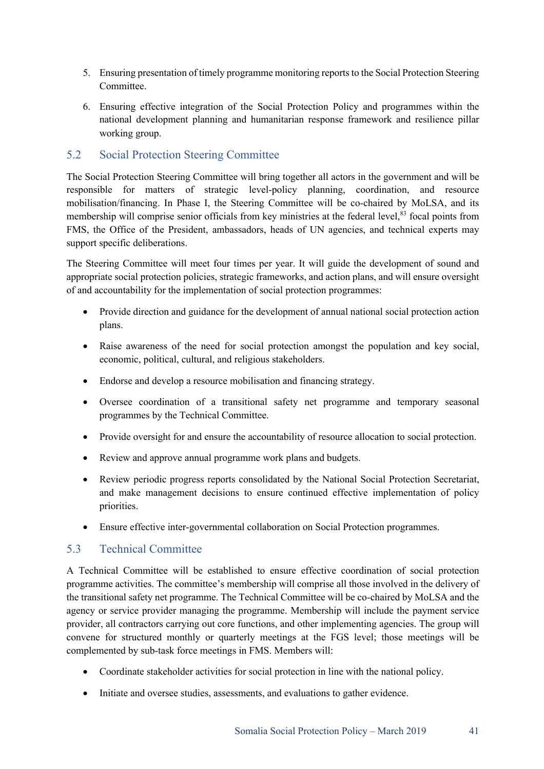- 5. Ensuring presentation of timely programme monitoring reports to the Social Protection Steering Committee.
- 6. Ensuring effective integration of the Social Protection Policy and programmes within the national development planning and humanitarian response framework and resilience pillar working group.

# 5.2 Social Protection Steering Committee

The Social Protection Steering Committee will bring together all actors in the government and will be responsible for matters of strategic level-policy planning, coordination, and resource mobilisation/financing. In Phase I, the Steering Committee will be co-chaired by MoLSA, and its membership will comprise senior officials from key ministries at the federal level,<sup>83</sup> focal points from FMS, the Office of the President, ambassadors, heads of UN agencies, and technical experts may support specific deliberations.

The Steering Committee will meet four times per year. It will guide the development of sound and appropriate social protection policies, strategic frameworks, and action plans, and will ensure oversight of and accountability for the implementation of social protection programmes:

- Provide direction and guidance for the development of annual national social protection action plans.
- Raise awareness of the need for social protection amongst the population and key social, economic, political, cultural, and religious stakeholders.
- Endorse and develop a resource mobilisation and financing strategy.
- Oversee coordination of a transitional safety net programme and temporary seasonal programmes by the Technical Committee.
- Provide oversight for and ensure the accountability of resource allocation to social protection.
- Review and approve annual programme work plans and budgets.
- Review periodic progress reports consolidated by the National Social Protection Secretariat, and make management decisions to ensure continued effective implementation of policy priorities.
- Ensure effective inter-governmental collaboration on Social Protection programmes.

# 5.3 Technical Committee

A Technical Committee will be established to ensure effective coordination of social protection programme activities. The committee's membership will comprise all those involved in the delivery of the transitional safety net programme. The Technical Committee will be co-chaired by MoLSA and the agency or service provider managing the programme. Membership will include the payment service provider, all contractors carrying out core functions, and other implementing agencies. The group will convene for structured monthly or quarterly meetings at the FGS level; those meetings will be complemented by sub-task force meetings in FMS. Members will:

- Coordinate stakeholder activities for social protection in line with the national policy.
- Initiate and oversee studies, assessments, and evaluations to gather evidence.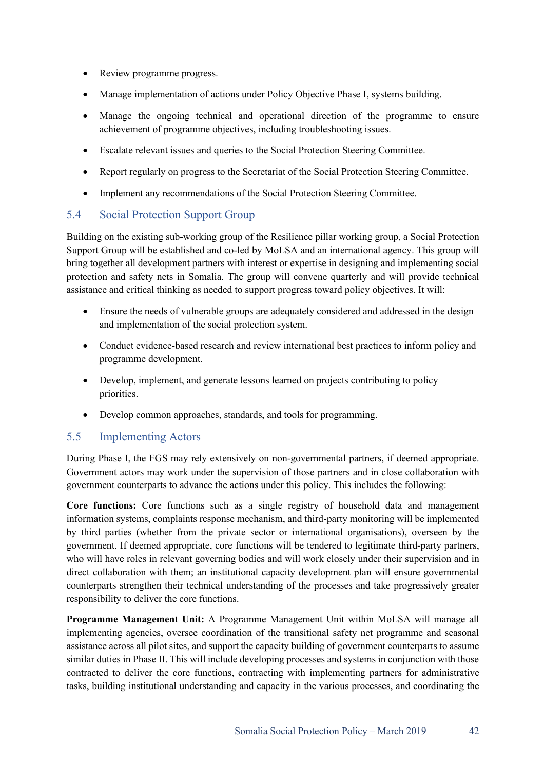- Review programme progress.
- Manage implementation of actions under Policy Objective Phase I, systems building.
- Manage the ongoing technical and operational direction of the programme to ensure achievement of programme objectives, including troubleshooting issues.
- Escalate relevant issues and queries to the Social Protection Steering Committee.
- Report regularly on progress to the Secretariat of the Social Protection Steering Committee.
- Implement any recommendations of the Social Protection Steering Committee.

# 5.4 Social Protection Support Group

Building on the existing sub-working group of the Resilience pillar working group, a Social Protection Support Group will be established and co-led by MoLSA and an international agency. This group will bring together all development partners with interest or expertise in designing and implementing social protection and safety nets in Somalia. The group will convene quarterly and will provide technical assistance and critical thinking as needed to support progress toward policy objectives. It will:

- Ensure the needs of vulnerable groups are adequately considered and addressed in the design and implementation of the social protection system.
- Conduct evidence-based research and review international best practices to inform policy and programme development.
- Develop, implement, and generate lessons learned on projects contributing to policy priorities.
- Develop common approaches, standards, and tools for programming.

### 5.5 Implementing Actors

During Phase I, the FGS may rely extensively on non-governmental partners, if deemed appropriate. Government actors may work under the supervision of those partners and in close collaboration with government counterparts to advance the actions under this policy. This includes the following:

**Core functions:** Core functions such as a single registry of household data and management information systems, complaints response mechanism, and third-party monitoring will be implemented by third parties (whether from the private sector or international organisations), overseen by the government. If deemed appropriate, core functions will be tendered to legitimate third-party partners, who will have roles in relevant governing bodies and will work closely under their supervision and in direct collaboration with them; an institutional capacity development plan will ensure governmental counterparts strengthen their technical understanding of the processes and take progressively greater responsibility to deliver the core functions.

**Programme Management Unit:** A Programme Management Unit within MoLSA will manage all implementing agencies, oversee coordination of the transitional safety net programme and seasonal assistance across all pilot sites, and support the capacity building of government counterparts to assume similar duties in Phase II. This will include developing processes and systems in conjunction with those contracted to deliver the core functions, contracting with implementing partners for administrative tasks, building institutional understanding and capacity in the various processes, and coordinating the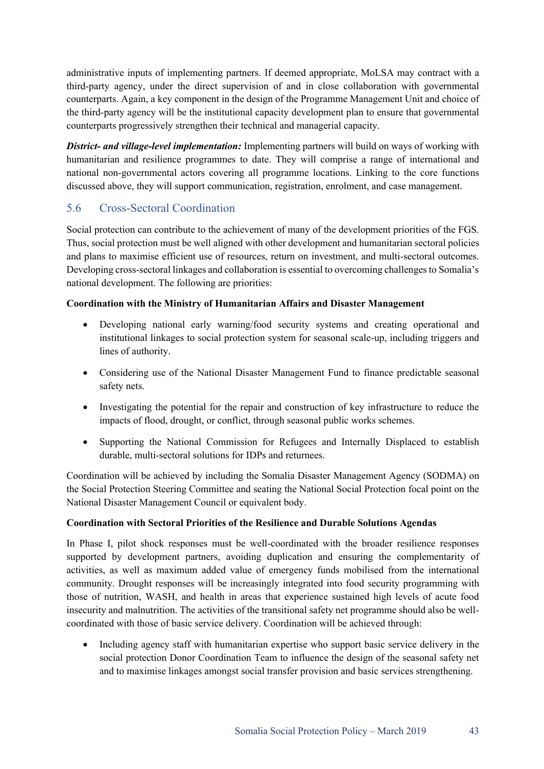administrative inputs of implementing partners. If deemed appropriate, MoLSA may contract with a third-party agency, under the direct supervision of and in close collaboration with governmental counterparts. Again, a key component in the design of the Programme Management Unit and choice of the third-party agency will be the institutional capacity development plan to ensure that governmental counterparts progressively strengthen their technical and managerial capacity.

*District- and village-level implementation:* Implementing partners will build on ways of working with humanitarian and resilience programmes to date. They will comprise a range of international and national non-governmental actors covering all programme locations. Linking to the core functions discussed above, they will support communication, registration, enrolment, and case management.

# 5.6 Cross-Sectoral Coordination

Social protection can contribute to the achievement of many of the development priorities of the FGS. Thus, social protection must be well aligned with other development and humanitarian sectoral policies and plans to maximise efficient use of resources, return on investment, and multi-sectoral outcomes. Developing cross-sectoral linkages and collaboration is essential to overcoming challenges to Somalia's national development. The following are priorities:

#### **Coordination with the Ministry of Humanitarian Affairs and Disaster Management**

- Developing national early warning/food security systems and creating operational and institutional linkages to social protection system for seasonal scale-up, including triggers and lines of authority.
- Considering use of the National Disaster Management Fund to finance predictable seasonal safety nets.
- Investigating the potential for the repair and construction of key infrastructure to reduce the impacts of flood, drought, or conflict, through seasonal public works schemes.
- Supporting the National Commission for Refugees and Internally Displaced to establish durable, multi-sectoral solutions for IDPs and returnees.

Coordination will be achieved by including the Somalia Disaster Management Agency (SODMA) on the Social Protection Steering Committee and seating the National Social Protection focal point on the National Disaster Management Council or equivalent body.

#### **Coordination with Sectoral Priorities of the Resilience and Durable Solutions Agendas**

In Phase I, pilot shock responses must be well-coordinated with the broader resilience responses supported by development partners, avoiding duplication and ensuring the complementarity of activities, as well as maximum added value of emergency funds mobilised from the international community. Drought responses will be increasingly integrated into food security programming with those of nutrition, WASH, and health in areas that experience sustained high levels of acute food insecurity and malnutrition. The activities of the transitional safety net programme should also be wellcoordinated with those of basic service delivery. Coordination will be achieved through:

• Including agency staff with humanitarian expertise who support basic service delivery in the social protection Donor Coordination Team to influence the design of the seasonal safety net and to maximise linkages amongst social transfer provision and basic services strengthening.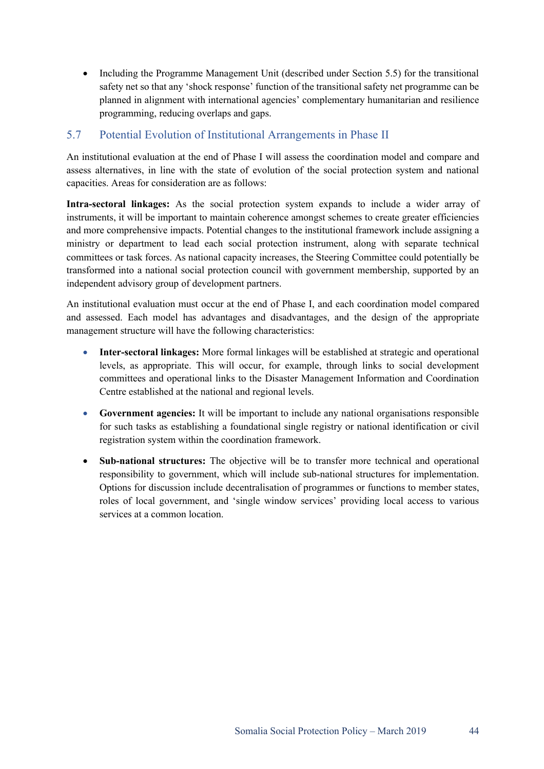• Including the Programme Management Unit (described under Section 5.5) for the transitional safety net so that any 'shock response' function of the transitional safety net programme can be planned in alignment with international agencies' complementary humanitarian and resilience programming, reducing overlaps and gaps.

# 5.7 Potential Evolution of Institutional Arrangements in Phase II

An institutional evaluation at the end of Phase I will assess the coordination model and compare and assess alternatives, in line with the state of evolution of the social protection system and national capacities. Areas for consideration are as follows:

**Intra-sectoral linkages:** As the social protection system expands to include a wider array of instruments, it will be important to maintain coherence amongst schemes to create greater efficiencies and more comprehensive impacts. Potential changes to the institutional framework include assigning a ministry or department to lead each social protection instrument, along with separate technical committees or task forces. As national capacity increases, the Steering Committee could potentially be transformed into a national social protection council with government membership, supported by an independent advisory group of development partners.

An institutional evaluation must occur at the end of Phase I, and each coordination model compared and assessed. Each model has advantages and disadvantages, and the design of the appropriate management structure will have the following characteristics:

- **Inter-sectoral linkages:** More formal linkages will be established at strategic and operational levels, as appropriate. This will occur, for example, through links to social development committees and operational links to the Disaster Management Information and Coordination Centre established at the national and regional levels.
- **Government agencies:** It will be important to include any national organisations responsible for such tasks as establishing a foundational single registry or national identification or civil registration system within the coordination framework.
- **Sub-national structures:** The objective will be to transfer more technical and operational responsibility to government, which will include sub-national structures for implementation. Options for discussion include decentralisation of programmes or functions to member states, roles of local government, and 'single window services' providing local access to various services at a common location.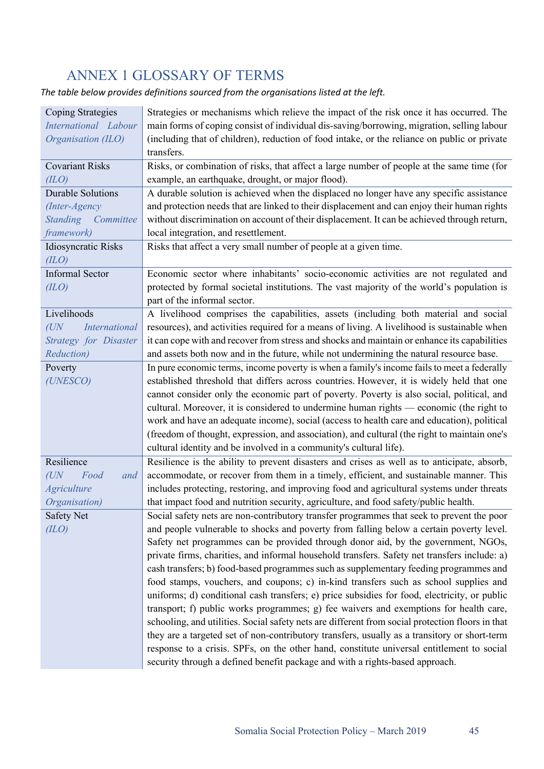# ANNEX 1 GLOSSARY OF TERMS

*The table below provides definitions sourced from the organisations listed at the left.* 

| <b>Coping Strategies</b>     | Strategies or mechanisms which relieve the impact of the risk once it has occurred. The          |
|------------------------------|--------------------------------------------------------------------------------------------------|
| International Labour         | main forms of coping consist of individual dis-saving/borrowing, migration, selling labour       |
| Organisation (ILO)           | (including that of children), reduction of food intake, or the reliance on public or private     |
|                              | transfers.                                                                                       |
| <b>Covariant Risks</b>       | Risks, or combination of risks, that affect a large number of people at the same time (for       |
| (ILO)                        | example, an earthquake, drought, or major flood).                                                |
| <b>Durable Solutions</b>     | A durable solution is achieved when the displaced no longer have any specific assistance         |
| (Inter-Agency                | and protection needs that are linked to their displacement and can enjoy their human rights      |
| <b>Standing</b><br>Committee | without discrimination on account of their displacement. It can be achieved through return,      |
| framework)                   | local integration, and resettlement.                                                             |
| <b>Idiosyncratic Risks</b>   | Risks that affect a very small number of people at a given time.                                 |
| (ILO)                        |                                                                                                  |
| <b>Informal Sector</b>       | Economic sector where inhabitants' socio-economic activities are not regulated and               |
| (ILO)                        | protected by formal societal institutions. The vast majority of the world's population is        |
|                              | part of the informal sector.                                                                     |
| Livelihoods                  | A livelihood comprises the capabilities, assets (including both material and social              |
| (UN)<br><b>International</b> | resources), and activities required for a means of living. A livelihood is sustainable when      |
| <b>Strategy for Disaster</b> | it can cope with and recover from stress and shocks and maintain or enhance its capabilities     |
| <b>Reduction</b> )           | and assets both now and in the future, while not undermining the natural resource base.          |
| Poverty                      | In pure economic terms, income poverty is when a family's income fails to meet a federally       |
| (UNESCO)                     | established threshold that differs across countries. However, it is widely held that one         |
|                              | cannot consider only the economic part of poverty. Poverty is also social, political, and        |
|                              | cultural. Moreover, it is considered to undermine human rights — economic (the right to          |
|                              | work and have an adequate income), social (access to health care and education), political       |
|                              | (freedom of thought, expression, and association), and cultural (the right to maintain one's     |
|                              | cultural identity and be involved in a community's cultural life).                               |
| Resilience                   | Resilience is the ability to prevent disasters and crises as well as to anticipate, absorb,      |
| Food<br>$(U\!N$<br>and       | accommodate, or recover from them in a timely, efficient, and sustainable manner. This           |
| <b>Agriculture</b>           | includes protecting, restoring, and improving food and agricultural systems under threats        |
| Organisation)                | that impact food and nutrition security, agriculture, and food safety/public health.             |
| <b>Safety Net</b>            | Social safety nets are non-contributory transfer programmes that seek to prevent the poor        |
| (ILO)                        | and people vulnerable to shocks and poverty from falling below a certain poverty level.          |
|                              | Safety net programmes can be provided through donor aid, by the government, NGOs,                |
|                              | private firms, charities, and informal household transfers. Safety net transfers include: a)     |
|                              | cash transfers; b) food-based programmes such as supplementary feeding programmes and            |
|                              | food stamps, vouchers, and coupons; c) in-kind transfers such as school supplies and             |
|                              | uniforms; d) conditional cash transfers; e) price subsidies for food, electricity, or public     |
|                              | transport; f) public works programmes; g) fee waivers and exemptions for health care,            |
|                              | schooling, and utilities. Social safety nets are different from social protection floors in that |
|                              | they are a targeted set of non-contributory transfers, usually as a transitory or short-term     |
|                              | response to a crisis. SPFs, on the other hand, constitute universal entitlement to social        |
|                              | security through a defined benefit package and with a rights-based approach.                     |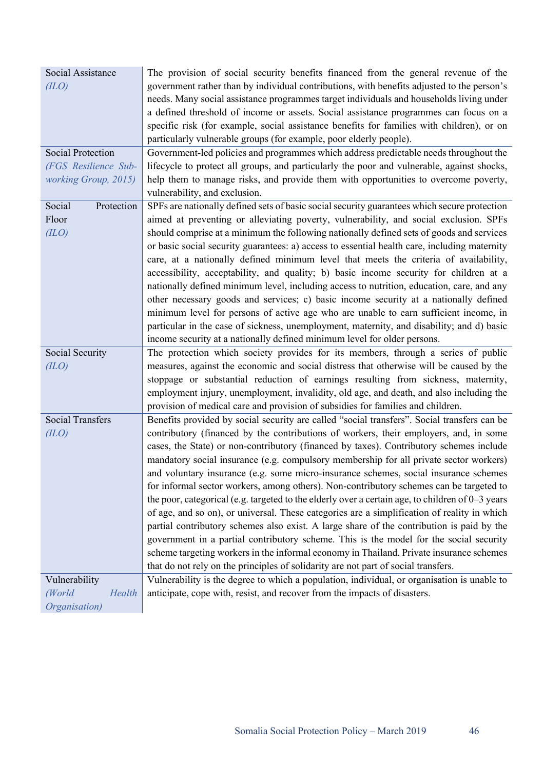| Social Assistance        | The provision of social security benefits financed from the general revenue of the                 |
|--------------------------|----------------------------------------------------------------------------------------------------|
| (ILO)                    | government rather than by individual contributions, with benefits adjusted to the person's         |
|                          | needs. Many social assistance programmes target individuals and households living under            |
|                          | a defined threshold of income or assets. Social assistance programmes can focus on a               |
|                          | specific risk (for example, social assistance benefits for families with children), or on          |
|                          | particularly vulnerable groups (for example, poor elderly people).                                 |
| <b>Social Protection</b> | Government-led policies and programmes which address predictable needs throughout the              |
| (FGS Resilience Sub-     | lifecycle to protect all groups, and particularly the poor and vulnerable, against shocks,         |
| working Group, 2015)     | help them to manage risks, and provide them with opportunities to overcome poverty,                |
|                          | vulnerability, and exclusion.                                                                      |
| Social<br>Protection     | SPFs are nationally defined sets of basic social security guarantees which secure protection       |
| Floor                    | aimed at preventing or alleviating poverty, vulnerability, and social exclusion. SPFs              |
| (ILO)                    | should comprise at a minimum the following nationally defined sets of goods and services           |
|                          | or basic social security guarantees: a) access to essential health care, including maternity       |
|                          | care, at a nationally defined minimum level that meets the criteria of availability,               |
|                          | accessibility, acceptability, and quality; b) basic income security for children at a              |
|                          | nationally defined minimum level, including access to nutrition, education, care, and any          |
|                          | other necessary goods and services; c) basic income security at a nationally defined               |
|                          | minimum level for persons of active age who are unable to earn sufficient income, in               |
|                          | particular in the case of sickness, unemployment, maternity, and disability; and d) basic          |
|                          | income security at a nationally defined minimum level for older persons.                           |
| Social Security          | The protection which society provides for its members, through a series of public                  |
| (ILO)                    | measures, against the economic and social distress that otherwise will be caused by the            |
|                          | stoppage or substantial reduction of earnings resulting from sickness, maternity,                  |
|                          | employment injury, unemployment, invalidity, old age, and death, and also including the            |
|                          | provision of medical care and provision of subsidies for families and children.                    |
| <b>Social Transfers</b>  | Benefits provided by social security are called "social transfers". Social transfers can be        |
| (ILO)                    | contributory (financed by the contributions of workers, their employers, and, in some              |
|                          | cases, the State) or non-contributory (financed by taxes). Contributory schemes include            |
|                          | mandatory social insurance (e.g. compulsory membership for all private sector workers)             |
|                          | and voluntary insurance (e.g. some micro-insurance schemes, social insurance schemes               |
|                          | for informal sector workers, among others). Non-contributory schemes can be targeted to            |
|                          | the poor, categorical (e.g. targeted to the elderly over a certain age, to children of $0-3$ years |
|                          | of age, and so on), or universal. These categories are a simplification of reality in which        |
|                          | partial contributory schemes also exist. A large share of the contribution is paid by the          |
|                          | government in a partial contributory scheme. This is the model for the social security             |
|                          | scheme targeting workers in the informal economy in Thailand. Private insurance schemes            |
|                          | that do not rely on the principles of solidarity are not part of social transfers.                 |
| Vulnerability            | Vulnerability is the degree to which a population, individual, or organisation is unable to        |
| (World<br>Health         | anticipate, cope with, resist, and recover from the impacts of disasters.                          |
| Organisation)            |                                                                                                    |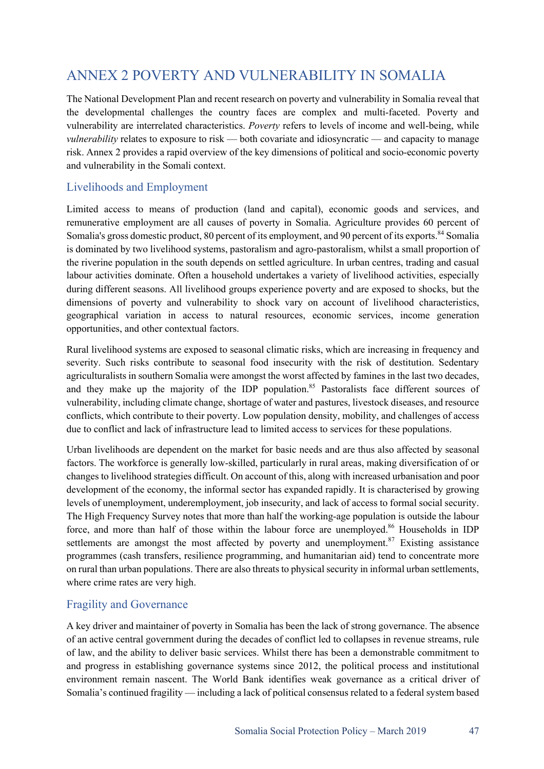# ANNEX 2 POVERTY AND VULNERABILITY IN SOMALIA

The National Development Plan and recent research on poverty and vulnerability in Somalia reveal that the developmental challenges the country faces are complex and multi-faceted. Poverty and vulnerability are interrelated characteristics. *Poverty* refers to levels of income and well-being, while *vulnerability* relates to exposure to risk — both covariate and idiosyncratic — and capacity to manage risk. Annex 2 provides a rapid overview of the key dimensions of political and socio-economic poverty and vulnerability in the Somali context.

# Livelihoods and Employment

Limited access to means of production (land and capital), economic goods and services, and remunerative employment are all causes of poverty in Somalia. Agriculture provides 60 percent of Somalia's gross domestic product, 80 percent of its employment, and 90 percent of its exports.<sup>84</sup> Somalia is dominated by two livelihood systems, pastoralism and agro-pastoralism, whilst a small proportion of the riverine population in the south depends on settled agriculture. In urban centres, trading and casual labour activities dominate. Often a household undertakes a variety of livelihood activities, especially during different seasons. All livelihood groups experience poverty and are exposed to shocks, but the dimensions of poverty and vulnerability to shock vary on account of livelihood characteristics, geographical variation in access to natural resources, economic services, income generation opportunities, and other contextual factors.

Rural livelihood systems are exposed to seasonal climatic risks, which are increasing in frequency and severity. Such risks contribute to seasonal food insecurity with the risk of destitution. Sedentary agriculturalists in southern Somalia were amongst the worst affected by famines in the last two decades, and they make up the majority of the IDP population.<sup>85</sup> Pastoralists face different sources of vulnerability, including climate change, shortage of water and pastures, livestock diseases, and resource conflicts, which contribute to their poverty. Low population density, mobility, and challenges of access due to conflict and lack of infrastructure lead to limited access to services for these populations.

Urban livelihoods are dependent on the market for basic needs and are thus also affected by seasonal factors. The workforce is generally low-skilled, particularly in rural areas, making diversification of or changes to livelihood strategies difficult. On account of this, along with increased urbanisation and poor development of the economy, the informal sector has expanded rapidly. It is characterised by growing levels of unemployment, underemployment, job insecurity, and lack of access to formal social security. The High Frequency Survey notes that more than half the working-age population is outside the labour force, and more than half of those within the labour force are unemployed.<sup>86</sup> Households in IDP settlements are amongst the most affected by poverty and unemployment.<sup>87</sup> Existing assistance programmes (cash transfers, resilience programming, and humanitarian aid) tend to concentrate more on rural than urban populations. There are also threats to physical security in informal urban settlements, where crime rates are very high.

### Fragility and Governance

A key driver and maintainer of poverty in Somalia has been the lack of strong governance. The absence of an active central government during the decades of conflict led to collapses in revenue streams, rule of law, and the ability to deliver basic services. Whilst there has been a demonstrable commitment to and progress in establishing governance systems since 2012, the political process and institutional environment remain nascent. The World Bank identifies weak governance as a critical driver of Somalia's continued fragility — including a lack of political consensus related to a federal system based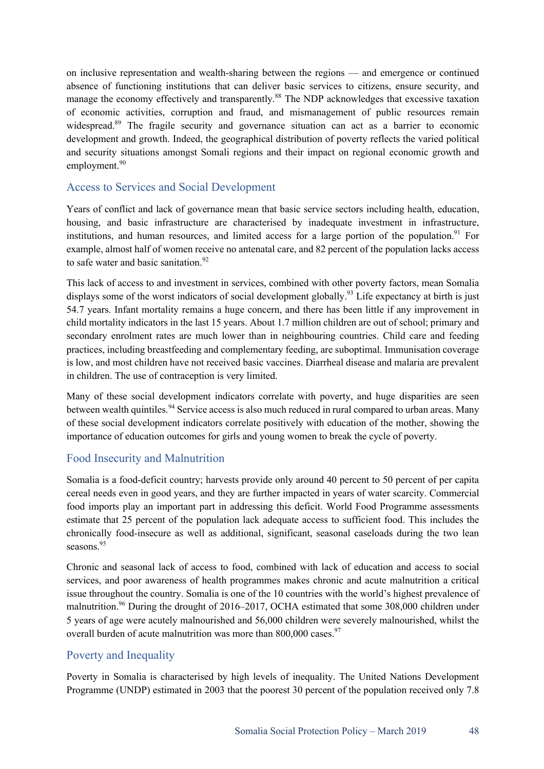on inclusive representation and wealth-sharing between the regions — and emergence or continued absence of functioning institutions that can deliver basic services to citizens, ensure security, and manage the economy effectively and transparently.<sup>88</sup> The NDP acknowledges that excessive taxation of economic activities, corruption and fraud, and mismanagement of public resources remain widespread.<sup>89</sup> The fragile security and governance situation can act as a barrier to economic development and growth. Indeed, the geographical distribution of poverty reflects the varied political and security situations amongst Somali regions and their impact on regional economic growth and employment.<sup>90</sup>

### Access to Services and Social Development

Years of conflict and lack of governance mean that basic service sectors including health, education, housing, and basic infrastructure are characterised by inadequate investment in infrastructure, institutions, and human resources, and limited access for a large portion of the population.<sup>91</sup> For example, almost half of women receive no antenatal care, and 82 percent of the population lacks access to safe water and basic sanitation. $92$ 

This lack of access to and investment in services, combined with other poverty factors, mean Somalia displays some of the worst indicators of social development globally.<sup>93</sup> Life expectancy at birth is just 54.7 years. Infant mortality remains a huge concern, and there has been little if any improvement in child mortality indicators in the last 15 years. About 1.7 million children are out of school; primary and secondary enrolment rates are much lower than in neighbouring countries. Child care and feeding practices, including breastfeeding and complementary feeding, are suboptimal. Immunisation coverage is low, and most children have not received basic vaccines. Diarrheal disease and malaria are prevalent in children. The use of contraception is very limited.

Many of these social development indicators correlate with poverty, and huge disparities are seen between wealth quintiles.<sup>94</sup> Service access is also much reduced in rural compared to urban areas. Many of these social development indicators correlate positively with education of the mother, showing the importance of education outcomes for girls and young women to break the cycle of poverty.

### Food Insecurity and Malnutrition

Somalia is a food-deficit country; harvests provide only around 40 percent to 50 percent of per capita cereal needs even in good years, and they are further impacted in years of water scarcity. Commercial food imports play an important part in addressing this deficit. World Food Programme assessments estimate that 25 percent of the population lack adequate access to sufficient food. This includes the chronically food-insecure as well as additional, significant, seasonal caseloads during the two lean seasons.<sup>95</sup>

Chronic and seasonal lack of access to food, combined with lack of education and access to social services, and poor awareness of health programmes makes chronic and acute malnutrition a critical issue throughout the country. Somalia is one of the 10 countries with the world's highest prevalence of malnutrition.<sup>96</sup> During the drought of 2016–2017, OCHA estimated that some 308,000 children under 5 years of age were acutely malnourished and 56,000 children were severely malnourished, whilst the overall burden of acute malnutrition was more than  $800,000$  cases.<sup>97</sup>

### Poverty and Inequality

Poverty in Somalia is characterised by high levels of inequality. The United Nations Development Programme (UNDP) estimated in 2003 that the poorest 30 percent of the population received only 7.8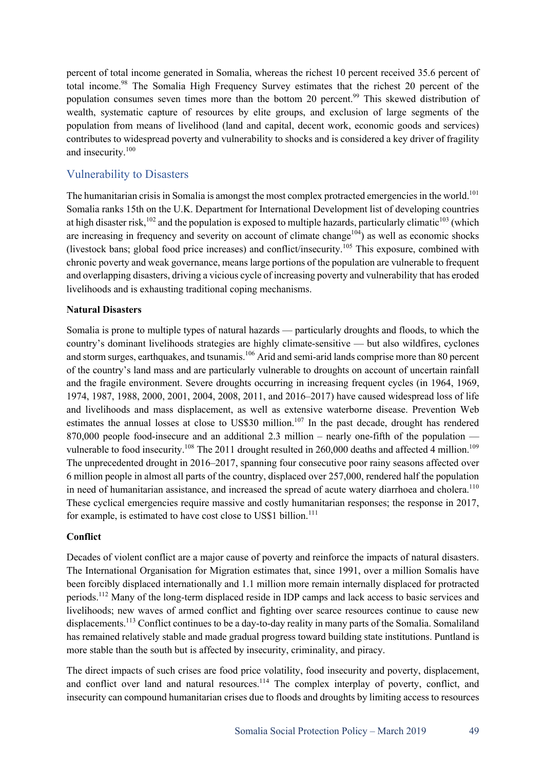percent of total income generated in Somalia, whereas the richest 10 percent received 35.6 percent of total income.<sup>98</sup> The Somalia High Frequency Survey estimates that the richest 20 percent of the population consumes seven times more than the bottom 20 percent.<sup>99</sup> This skewed distribution of wealth, systematic capture of resources by elite groups, and exclusion of large segments of the population from means of livelihood (land and capital, decent work, economic goods and services) contributes to widespread poverty and vulnerability to shocks and is considered a key driver of fragility and insecurity.<sup>100</sup>

## Vulnerability to Disasters

The humanitarian crisis in Somalia is amongst the most complex protracted emergencies in the world.<sup>101</sup> Somalia ranks 15th on the U.K. Department for International Development list of developing countries at high disaster risk,<sup>102</sup> and the population is exposed to multiple hazards, particularly climatic<sup>103</sup> (which are increasing in frequency and severity on account of climate change<sup>104</sup>) as well as economic shocks (livestock bans; global food price increases) and conflict/insecurity.<sup>105</sup> This exposure, combined with chronic poverty and weak governance, means large portions of the population are vulnerable to frequent and overlapping disasters, driving a vicious cycle of increasing poverty and vulnerability that has eroded livelihoods and is exhausting traditional coping mechanisms.

#### **Natural Disasters**

Somalia is prone to multiple types of natural hazards — particularly droughts and floods, to which the country's dominant livelihoods strategies are highly climate-sensitive — but also wildfires, cyclones and storm surges, earthquakes, and tsunamis.<sup>106</sup> Arid and semi-arid lands comprise more than 80 percent of the country's land mass and are particularly vulnerable to droughts on account of uncertain rainfall and the fragile environment. Severe droughts occurring in increasing frequent cycles (in 1964, 1969, 1974, 1987, 1988, 2000, 2001, 2004, 2008, 2011, and 2016–2017) have caused widespread loss of life and livelihoods and mass displacement, as well as extensive waterborne disease. Prevention Web estimates the annual losses at close to US\$30 million.<sup>107</sup> In the past decade, drought has rendered 870,000 people food-insecure and an additional 2.3 million – nearly one-fifth of the population vulnerable to food insecurity.<sup>108</sup> The 2011 drought resulted in 260,000 deaths and affected 4 million.<sup>109</sup> The unprecedented drought in 2016–2017, spanning four consecutive poor rainy seasons affected over 6 million people in almost all parts of the country, displaced over 257,000, rendered half the population in need of humanitarian assistance, and increased the spread of acute watery diarrhoea and cholera.<sup>110</sup> These cyclical emergencies require massive and costly humanitarian responses; the response in 2017, for example, is estimated to have cost close to US\$1 billion.<sup>111</sup>

#### **Conflict**

Decades of violent conflict are a major cause of poverty and reinforce the impacts of natural disasters. The International Organisation for Migration estimates that, since 1991, over a million Somalis have been forcibly displaced internationally and 1.1 million more remain internally displaced for protracted periods.<sup>112</sup> Many of the long-term displaced reside in IDP camps and lack access to basic services and livelihoods; new waves of armed conflict and fighting over scarce resources continue to cause new displacements.<sup>113</sup> Conflict continues to be a day-to-day reality in many parts of the Somalia. Somaliland has remained relatively stable and made gradual progress toward building state institutions. Puntland is more stable than the south but is affected by insecurity, criminality, and piracy.

The direct impacts of such crises are food price volatility, food insecurity and poverty, displacement, and conflict over land and natural resources.<sup>114</sup> The complex interplay of poverty, conflict, and insecurity can compound humanitarian crises due to floods and droughts by limiting access to resources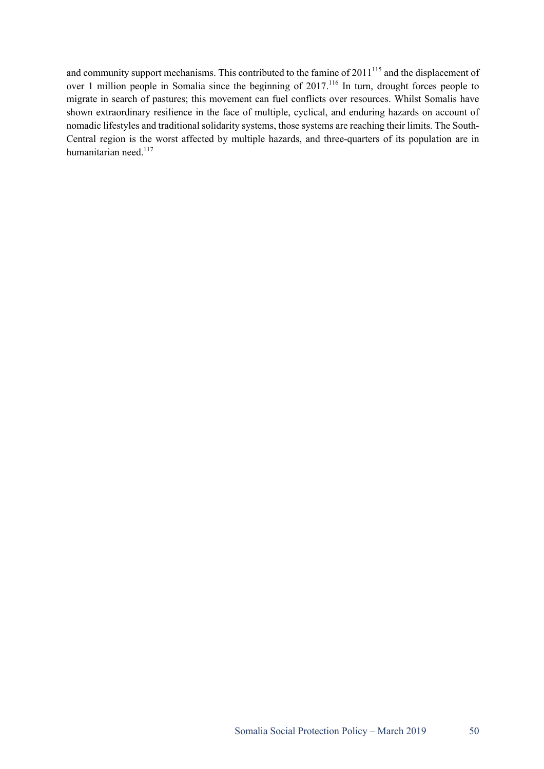and community support mechanisms. This contributed to the famine of  $2011^{115}$  and the displacement of over 1 million people in Somalia since the beginning of 2017.<sup>116</sup> In turn, drought forces people to migrate in search of pastures; this movement can fuel conflicts over resources. Whilst Somalis have shown extraordinary resilience in the face of multiple, cyclical, and enduring hazards on account of nomadic lifestyles and traditional solidarity systems, those systems are reaching their limits. The South-Central region is the worst affected by multiple hazards, and three-quarters of its population are in humanitarian need.<sup>117</sup>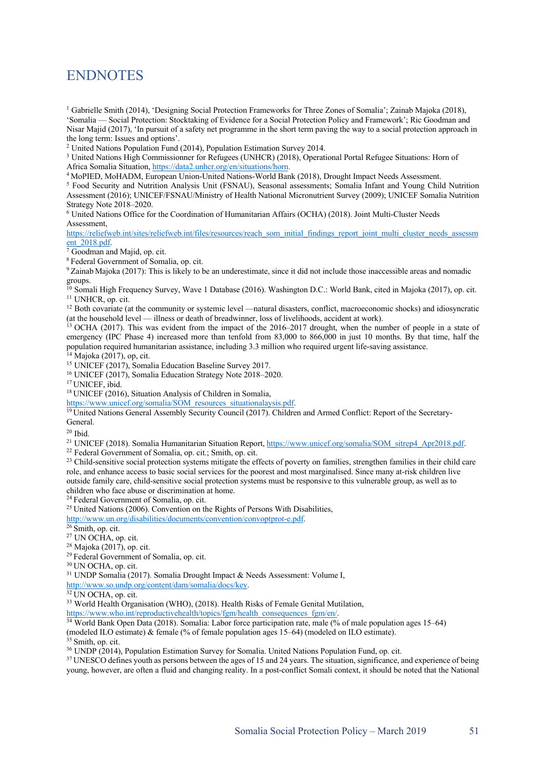# **ENDNOTES**

<sup>1</sup> Gabrielle Smith (2014), 'Designing Social Protection Frameworks for Three Zones of Somalia'; Zainab Majoka (2018), 'Somalia — Social Protection: Stocktaking of Evidence for a Social Protection Policy and Framework'; Ric Goodman and Nisar Majid (2017), 'In pursuit of a safety net programme in the short term paving the way to a social protection approach in the long term: Issues and options'.

<sup>2</sup> United Nations Population Fund (2014), Population Estimation Survey 2014.

<sup>3</sup> United Nations High Commissionner for Refugees (UNHCR) (2018), Operational Portal Refugee Situations: Horn of Africa Somalia Situation, https://data2.unhcr.org/en/situations/horn.

<sup>4</sup> MoPIED, MoHADM, European Union-United Nations-World Bank (2018), Drought Impact Needs Assessment.

<sup>5</sup> Food Security and Nutrition Analysis Unit (FSNAU), Seasonal assessments; Somalia Infant and Young Child Nutrition Assessment (2016); UNICEF/FSNAU/Ministry of Health National Micronutrient Survey (2009); UNICEF Somalia Nutrition Strategy Note 2018–2020.

<sup>6</sup> United Nations Office for the Coordination of Humanitarian Affairs (OCHA) (2018). Joint Multi-Cluster Needs Assessment,

https://reliefweb.int/sites/reliefweb.int/files/resources/reach\_som\_initial\_findings\_report\_joint\_multi\_cluster\_needs\_assessm ent\_2018.pdf.

<sup>7</sup> Goodman and Majid, op. cit.

<sup>8</sup> Federal Government of Somalia, op. cit.

<sup>9</sup> Zainab Majoka (2017): This is likely to be an underestimate, since it did not include those inaccessible areas and nomadic groups.

<sup>10</sup> Somali High Frequency Survey, Wave 1 Database (2016). Washington D.C.: World Bank, cited in Majoka (2017), op. cit. <sup>11</sup> UNHCR, op. cit.

 $12$  Both covariate (at the community or systemic level —natural disasters, conflict, macroeconomic shocks) and idiosyncratic (at the household level — illness or death of breadwinner, loss of livelihoods, accident at work).

<sup>13</sup> OCHA (2017). This was evident from the impact of the 2016–2017 drought, when the number of people in a state of emergency (IPC Phase 4) increased more than tenfold from 83,000 to 866,000 in just 10 months. By that time, half the population required humanitarian assistance, including 3.3 million who required urgent life-saving assistance.

 $14$  Majoka (2017), op, cit.

<sup>15</sup> UNICEF (2017), Somalia Education Baseline Survey 2017.

<sup>16</sup> UNICEF (2017), Somalia Education Strategy Note 2018–2020.

<sup>17</sup> UNICEF, ibid.

<sup>18</sup> UNICEF (2016), Situation Analysis of Children in Somalia,

https://www.unicef.org/somalia/SOM\_resources\_situationalaysis.pdf.

<sup>19</sup> United Nations General Assembly Security Council (2017). Children and Armed Conflict: Report of the Secretary-General.

 $20$  Ibid.

<sup>21</sup> UNICEF (2018). Somalia Humanitarian Situation Report, https://www.unicef.org/somalia/SOM\_sitrep4\_Apr2018.pdf.

<sup>22</sup> Federal Government of Somalia, op. cit.; Smith, op. cit.

<sup>23</sup> Child-sensitive social protection systems mitigate the effects of poverty on families, strengthen families in their child care role, and enhance access to basic social services for the poorest and most marginalised. Since many at-risk children live outside family care, child-sensitive social protection systems must be responsive to this vulnerable group, as well as to children who face abuse or discrimination at home.

<sup>24</sup> Federal Government of Somalia, op. cit.

<sup>25</sup> United Nations (2006). Convention on the Rights of Persons With Disabilities,

http://www.un.org/disabilities/documents/convention/convoptprot-e.pdf.

<sup>26</sup> Smith, op. cit.

<sup>27</sup> UN OCHA, op. cit.

 $28$  Majoka (2017), op. cit.

<sup>29</sup> Federal Government of Somalia, op. cit.

<sup>30</sup> UN OCHA, op. cit.

<sup>31</sup> UNDP Somalia (2017). Somalia Drought Impact & Needs Assessment: Volume I, http://www.so.undp.org/content/dam/somalia/docs/key.

 $32$  UN OCHA, op. cit.

<sup>33</sup> World Health Organisation (WHO), (2018). Health Risks of Female Genital Mutilation,

https://www.who.int/reproductivehealth/topics/fgm/health\_consequences\_fgm/en/.

<sup>34</sup> World Bank Open Data (2018). Somalia: Labor force participation rate, male (% of male population ages 15–64) (modeled ILO estimate) & female (% of female population ages 15–64) (modeled on ILO estimate).

 $35$  Smith, op. cit.

<sup>36</sup> UNDP (2014), Population Estimation Survey for Somalia. United Nations Population Fund, op. cit.

<sup>37</sup> UNESCO defines youth as persons between the ages of 15 and 24 years. The situation, significance, and experience of being young, however, are often a fluid and changing reality. In a post-conflict Somali context, it should be noted that the National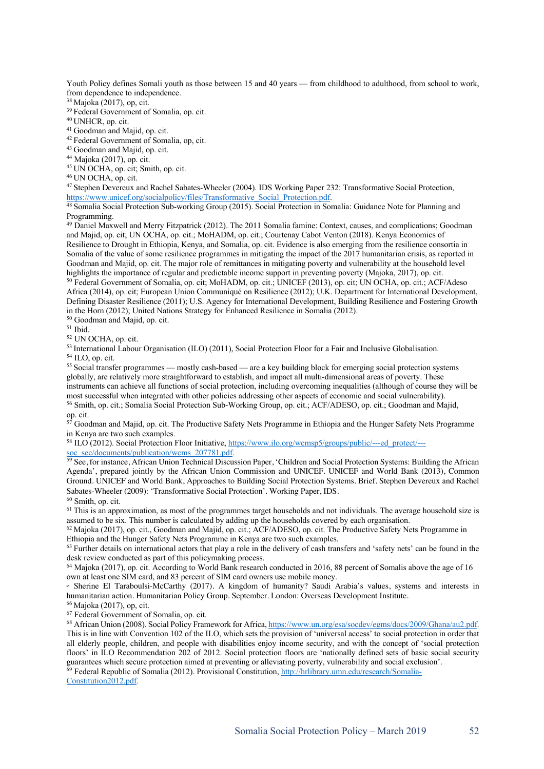Youth Policy defines Somali youth as those between 15 and 40 years — from childhood to adulthood, from school to work, from dependence to independence.

<sup>38</sup> Majoka (2017), op, cit.

<sup>39</sup> Federal Government of Somalia, op. cit.

<sup>40</sup> UNHCR, op. cit.

<sup>41</sup> Goodman and Majid, op. cit.

<sup>42</sup> Federal Government of Somalia, op, cit.

<sup>43</sup> Goodman and Majid, op. cit.

<sup>44</sup> Majoka (2017), op. cit.

<sup>45</sup> UN OCHA, op. cit; Smith, op. cit.

<sup>46</sup> UN OCHA, op. cit.

<sup>47</sup> Stephen Devereux and Rachel Sabates-Wheeler (2004). IDS Working Paper 232: Transformative Social Protection, https://www.unicef.org/socialpolicy/files/Transformative\_Social\_Protection.pdf.

<sup>48</sup> Somalia Social Protection Sub-working Group (2015). Social Protection in Somalia: Guidance Note for Planning and Programming.

<sup>49</sup> Daniel Maxwell and Merry Fitzpatrick (2012). The 2011 Somalia famine: Context, causes, and complications; Goodman and Majid, op. cit; UN OCHA, op. cit.; MoHADM, op. cit.; Courtenay Cabot Venton (2018). Kenya Economics of Resilience to Drought in Ethiopia, Kenya, and Somalia, op. cit. Evidence is also emerging from the resilience consortia in Somalia of the value of some resilience programmes in mitigating the impact of the 2017 humanitarian crisis, as reported in Goodman and Majid, op. cit. The major role of remittances in mitigating poverty and vulnerability at the household level

<sup>50</sup> Federal Government of Somalia, op. cit; MoHADM, op. cit.; UNICEF (2013), op. cit; UN OCHA, op. cit.; ACF/Adeso Africa (2014), op. cit; European Union Communiqué on Resilience (2012); U.K. Department for International Development, Defining Disaster Resilience (2011); U.S. Agency for International Development, Building Resilience and Fostering Growth in the Horn (2012); United Nations Strategy for Enhanced Resilience in Somalia (2012).

<sup>50</sup> Goodman and Majid, op. cit.

<sup>51</sup> Ibid.

<sup>52</sup> UN OCHA, op. cit.

<sup>53</sup> International Labour Organisation (ILO) (2011), Social Protection Floor for a Fair and Inclusive Globalisation.<br><sup>54</sup> ILO, op. cit.

55 Social transfer programmes — mostly cash-based — are a key building block for emerging social protection systems globally, are relatively more straightforward to establish, and impact all multi-dimensional areas of poverty. These instruments can achieve all functions of social protection, including overcoming inequalities (although of course they will be most successful when integrated with other policies addressing other aspects of economic and social vulnerability). <sup>56</sup> Smith, op. cit.; Somalia Social Protection Sub-Working Group, op. cit.; ACF/ADESO, op. cit.; Goodman and Majid, op. cit.

<sup>57</sup> Goodman and Majid, op. cit. The Productive Safety Nets Programme in Ethiopia and the Hunger Safety Nets Programme in Kenya are two such examples.

<sup>58</sup> ILO (2012). Social Protection Floor Initiative, https://www.ilo.org/wcmsp5/groups/public/---ed\_protect/-- soc\_sec/documents/publication/wcms\_207781.pdf.

<sup>59</sup> See, for instance, African Union Technical Discussion Paper, 'Children and Social Protection Systems: Building the African Agenda', prepared jointly by the African Union Commission and UNICEF. UNICEF and World Bank (2013), Common Ground. UNICEF and World Bank, Approaches to Building Social Protection Systems. Brief. Stephen Devereux and Rachel Sabates-Wheeler (2009): 'Transformative Social Protection'. Working Paper, IDS.

<sup>60</sup> Smith, op. cit.

 $61$  This is an approximation, as most of the programmes target households and not individuals. The average household size is assumed to be six. This number is calculated by adding up the households covered by each organisation.

<sup>62</sup> Majoka (2017), op. cit., Goodman and Majid, op. cit.; ACF/ADESO, op. cit. The Productive Safety Nets Programme in Ethiopia and the Hunger Safety Nets Programme in Kenya are two such examples.

 $63$  Further details on international actors that play a role in the delivery of cash transfers and 'safety nets' can be found in the desk review conducted as part of this policymaking process.

<sup>64</sup> Majoka (2017), op. cit. According to World Bank research conducted in 2016, 88 percent of Somalis above the age of 16 own at least one SIM card, and 83 percent of SIM card owners use mobile money.

<sup>65</sup> Sherine El Taraboulsi-McCarthy (2017). A kingdom of humanity? Saudi Arabia's values, systems and interests in humanitarian action. Humanitarian Policy Group. September. London: Overseas Development Institute. <sup>66</sup> Majoka (2017), op, cit.

<sup>67</sup> Federal Government of Somalia, op. cit.

<sup>68</sup> African Union (2008). Social Policy Framework for Africa, https://www.un.org/esa/socdev/egms/docs/2009/Ghana/au2.pdf. This is in line with Convention 102 of the ILO, which sets the provision of 'universal access' to social protection in order that all elderly people, children, and people with disabilities enjoy income security, and with the concept of 'social protection floors' in ILO Recommendation 202 of 2012. Social protection floors are 'nationally defined sets of basic social security guarantees which secure protection aimed at preventing or alleviating poverty, vulnerability and social exclusion'.

<sup>69</sup> Federal Republic of Somalia (2012). Provisional Constitution, http://hrlibrary.umn.edu/research/Somalia-Constitution2012.pdf.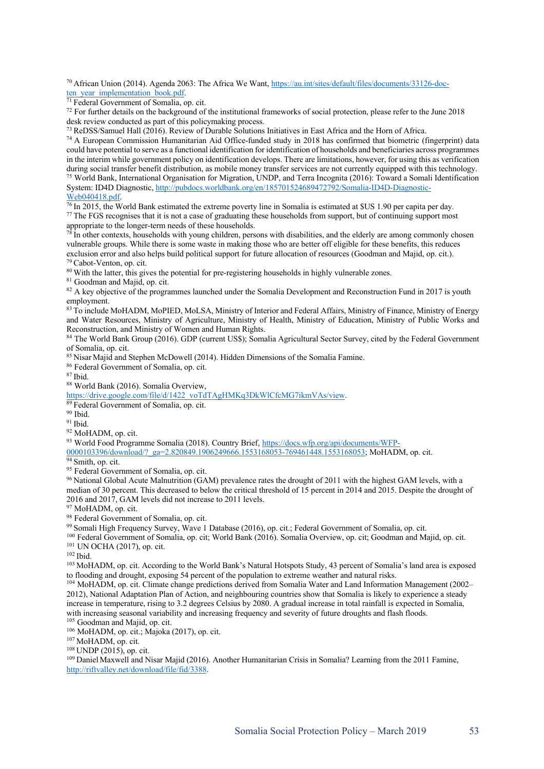<sup>70</sup> African Union (2014). Agenda 2063: The Africa We Want, https://au.int/sites/default/files/documents/33126-docten year implementation book.pdf.

<sup>71</sup> Federal Government of Somalia, op. cit.

 $72$  For further details on the background of the institutional frameworks of social protection, please refer to the June 2018 desk review conducted as part of this policymaking process.

<sup>73</sup> ReDSS/Samuel Hall (2016). Review of Durable Solutions Initiatives in East Africa and the Horn of Africa.

<sup>74</sup> A European Commission Humanitarian Aid Office-funded study in 2018 has confirmed that biometric (fingerprint) data could have potential to serve as a functional identification for identification of households and beneficiaries across programmes in the interim while government policy on identification develops. There are limitations, however, for using this as verification during social transfer benefit distribution, as mobile money transfer services are not currently equipped with this technology. <sup>75</sup> World Bank, International Organisation for Migration, UNDP, and Terra Incognita (2016): Toward a Somali Identification System: ID4D Diagnostic, http://pubdocs.worldbank.org/en/185701524689472792/Somalia-ID4D-Diagnostic-Web040418.pdf.

 $\frac{76 \text{ In } 2015$ , the World Bank estimated the extreme poverty line in Somalia is estimated at \$US 1.90 per capita per day. <sup>77</sup> The FGS recognises that it is not a case of graduating these households from support, but of continuing support most

appropriate to the longer-term needs of these households.<br><sup>78</sup> In other contexts, households with young children, persons with disabilities, and the elderly are among commonly chosen vulnerable groups. While there is some waste in making those who are better off eligible for these benefits, this reduces exclusion error and also helps build political support for future allocation of resources (Goodman and Majid, op. cit.).

 $79$  Cabot-Venton, op. cit.<br> $80$  With the latter, this gives the potential for pre-registering households in highly vulnerable zones.

<sup>81</sup> Goodman and Majid, op. cit.

<sup>82</sup> A key objective of the programmes launched under the Somalia Development and Reconstruction Fund in 2017 is youth employment.

<sup>83</sup> To include MoHADM, MoPIED, MoLSA, Ministry of Interior and Federal Affairs, Ministry of Finance, Ministry of Energy and Water Resources, Ministry of Agriculture, Ministry of Health, Ministry of Education, Ministry of Public Works and Reconstruction, and Ministry of Women and Human Rights.

<sup>84</sup> The World Bank Group (2016). GDP (current US\$); Somalia Agricultural Sector Survey, cited by the Federal Government of Somalia, op. cit.

<sup>85</sup> Nisar Majid and Stephen McDowell (2014). Hidden Dimensions of the Somalia Famine.

<sup>86</sup> Federal Government of Somalia, op. cit.

<sup>87</sup> Ibid.

<sup>88</sup> World Bank (2016). Somalia Overview,

https://drive.google.com/file/d/1422\_voTdTAgHMKq3DkWlCfcMG7ikmVAs/view. 89 Federal Government of Somalia, op. cit. 90 Ibid.

<sup>91</sup> Ibid.

<sup>92</sup> MoHADM, op. cit.

93 World Food Programme Somalia (2018). Country Brief, https://docs.wfp.org/api/documents/WFP-

0000103396/download/?\_ga=2.820849.1906249666.1553168053-769461448.1553168053; MoHADM, op. cit.

<sup>94</sup> Smith, op. cit.

<sup>95</sup> Federal Government of Somalia, op. cit.

<sup>96</sup> National Global Acute Malnutrition (GAM) prevalence rates the drought of 2011 with the highest GAM levels, with a median of 30 percent. This decreased to below the critical threshold of 15 percent in 2014 and 2015. Despite the drought of 2016 and 2017, GAM levels did not increase to 2011 levels. 97 MoHADM, op. cit.

98 Federal Government of Somalia, op. cit.

<sup>99</sup> Somali High Frequency Survey, Wave 1 Database (2016), op. cit.; Federal Government of Somalia, op. cit.

<sup>100</sup> Federal Government of Somalia, op. cit; World Bank (2016). Somalia Overview, op. cit; Goodman and Majid, op. cit. <sup>101</sup> UN OCHA (2017), op. cit.

<sup>102</sup> Ibid.

103 MoHADM, op. cit. According to the World Bank's Natural Hotspots Study, 43 percent of Somalia's land area is exposed to flooding and drought, exposing 54 percent of the population to extreme weather and natural risks.

<sup>104</sup> MoHADM, op. cit. Climate change predictions derived from Somalia Water and Land Information Management (2002– 2012), National Adaptation Plan of Action, and neighbouring countries show that Somalia is likely to experience a steady increase in temperature, rising to 3.2 degrees Celsius by 2080. A gradual increase in total rainfall is expected in Somalia, with increasing seasonal variability and increasing frequency and severity of future droughts and flash floods.

<sup>105</sup> Goodman and Majid, op. cit.

<sup>106</sup> MoHADM, op. cit.; Majoka (2017), op. cit. 107 MoHADM, op. cit.

<sup>108</sup> UNDP (2015), op. cit.

<sup>109</sup> Daniel Maxwell and Nisar Majid (2016). Another Humanitarian Crisis in Somalia? Learning from the 2011 Famine, http://riftvalley.net/download/file/fid/3388.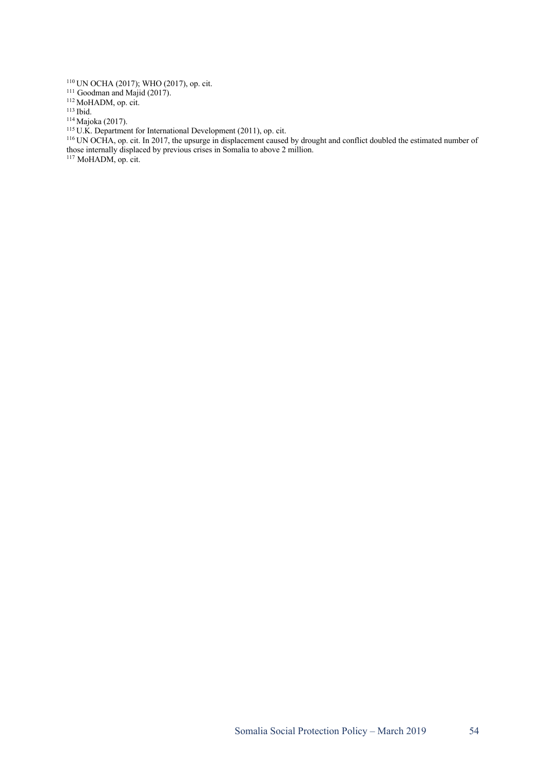<sup>110</sup> UN OCHA (2017); WHO (2017), op. cit.

<sup>111</sup> Goodman and Majid (2017).

<sup>112</sup> MoHADM, op. cit.

<sup>113</sup> Ibid.

<sup>114</sup> Majoka (2017).

<sup>115</sup> U.K. Department for International Development (2011), op. cit.

<sup>116</sup> UN OCHA, op. cit. In 2017, the upsurge in displacement caused by drought and conflict doubled the estimated number of those internally displaced by previous crises in Somalia to above 2 million.

<sup>117</sup> MoHADM, op. cit.